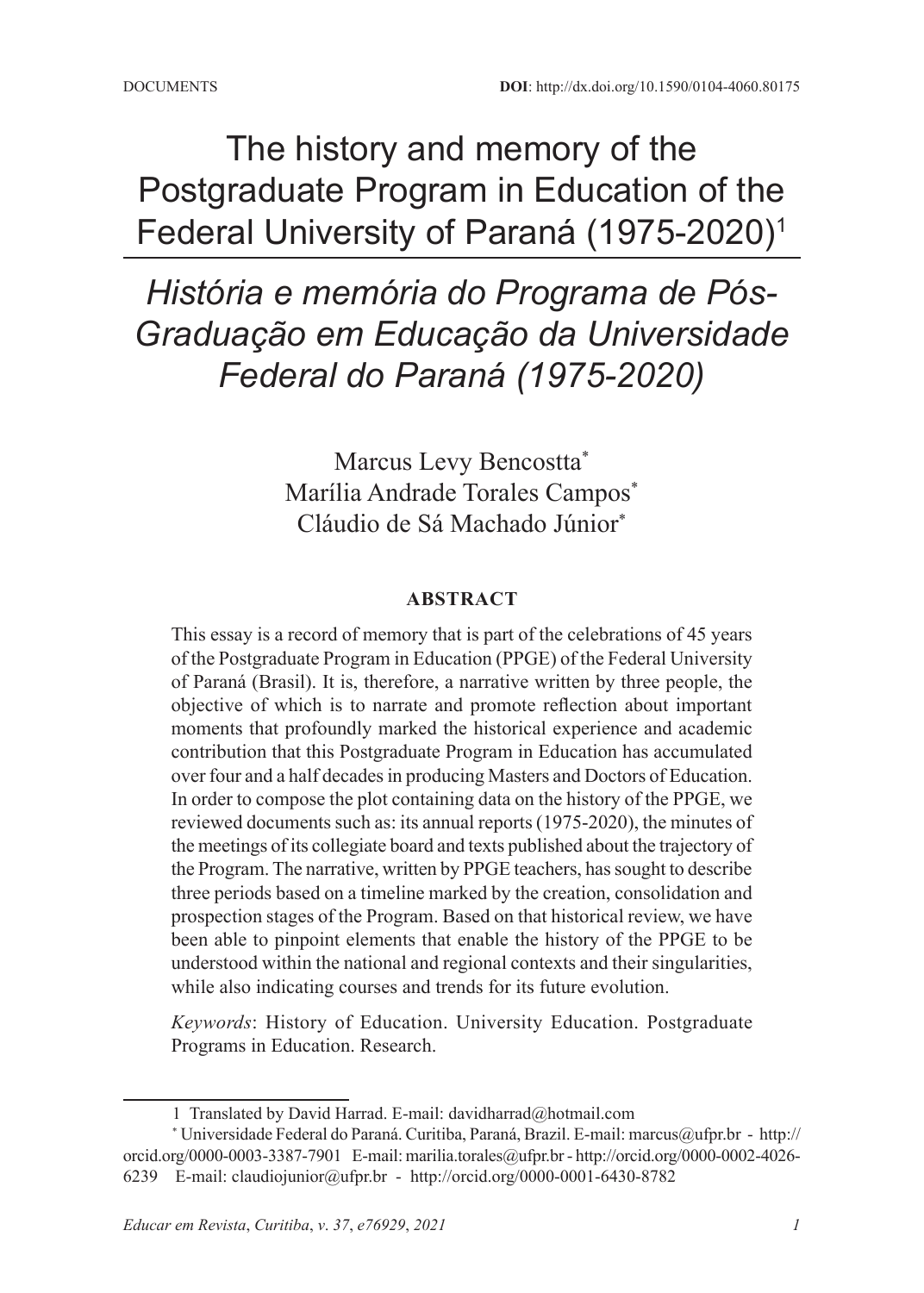# The history and memory of the Postgraduate Program in Education of the Federal University of Paraná (1975-2020)1

*História e memória do Programa de Pós-Graduação em Educação da Universidade Federal do Paraná (1975-2020)*

> Marcus Levy Bencostta\* Marília Andrade Torales Campos<sup>\*</sup> Cláudio de Sá Machado Júnior\*

#### **ABSTRACT**

This essay is a record of memory that is part of the celebrations of 45 years of the Postgraduate Program in Education (PPGE) of the Federal University of Paraná (Brasil). It is, therefore, a narrative written by three people, the objective of which is to narrate and promote reflection about important moments that profoundly marked the historical experience and academic contribution that this Postgraduate Program in Education has accumulated over four and a half decades in producing Masters and Doctors of Education. In order to compose the plot containing data on the history of the PPGE, we reviewed documents such as: its annual reports (1975-2020), the minutes of the meetings of its collegiate board and texts published about the trajectory of the Program. The narrative, written by PPGE teachers, has sought to describe three periods based on a timeline marked by the creation, consolidation and prospection stages of the Program. Based on that historical review, we have been able to pinpoint elements that enable the history of the PPGE to be understood within the national and regional contexts and their singularities, while also indicating courses and trends for its future evolution.

*Keywords*: History of Education. University Education. Postgraduate Programs in Education. Research.

<sup>1</sup> Translated by David Harrad. E-mail: davidharrad@hotmail.com

<sup>\*</sup> Universidade Federal do Paraná. Curitiba, Paraná, Brazil. E-mail: marcus@ufpr.br - http:// orcid.org/0000-0003-3387-7901 E-mail: marilia.torales@ufpr.br - http://orcid.org/0000-0002-4026- 6239 E-mail: claudiojunior@ufpr.br - http://orcid.org/0000-0001-6430-8782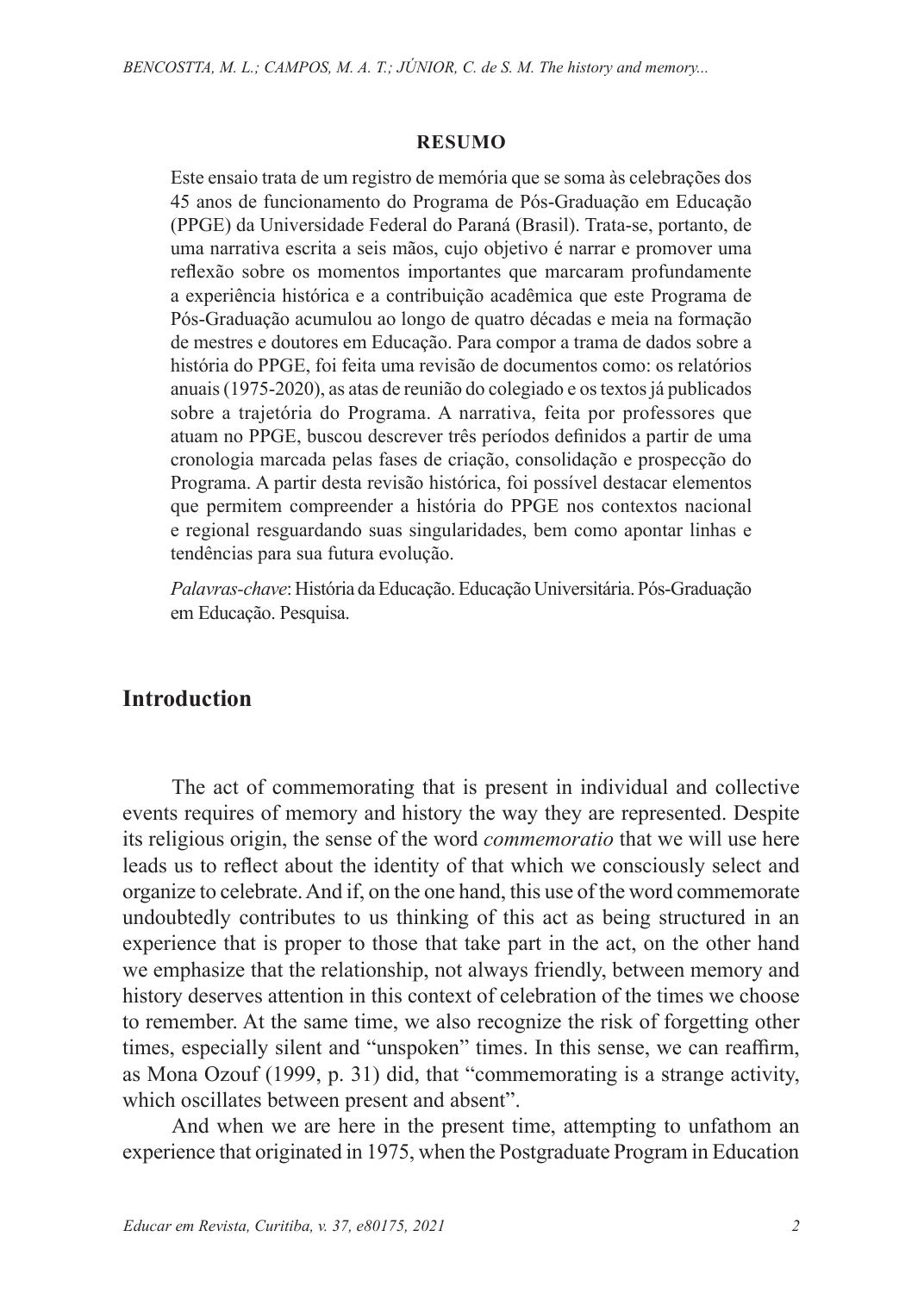#### **RESUMO**

Este ensaio trata de um registro de memória que se soma às celebrações dos 45 anos de funcionamento do Programa de Pós-Graduação em Educação (PPGE) da Universidade Federal do Paraná (Brasil). Trata-se, portanto, de uma narrativa escrita a seis mãos, cujo objetivo é narrar e promover uma reflexão sobre os momentos importantes que marcaram profundamente a experiência histórica e a contribuição acadêmica que este Programa de Pós-Graduação acumulou ao longo de quatro décadas e meia na formação de mestres e doutores em Educação. Para compor a trama de dados sobre a história do PPGE, foi feita uma revisão de documentos como: os relatórios anuais (1975-2020), as atas de reunião do colegiado e os textos já publicados sobre a trajetória do Programa. A narrativa, feita por professores que atuam no PPGE, buscou descrever três períodos definidos a partir de uma cronologia marcada pelas fases de criação, consolidação e prospecção do Programa. A partir desta revisão histórica, foi possível destacar elementos que permitem compreender a história do PPGE nos contextos nacional e regional resguardando suas singularidades, bem como apontar linhas e tendências para sua futura evolução.

*Palavras-chave*: História da Educação. Educação Universitária. Pós-Graduação em Educação. Pesquisa.

## **Introduction**

The act of commemorating that is present in individual and collective events requires of memory and history the way they are represented. Despite its religious origin, the sense of the word *commemoratio* that we will use here leads us to reflect about the identity of that which we consciously select and organize to celebrate. And if, on the one hand, this use of the word commemorate undoubtedly contributes to us thinking of this act as being structured in an experience that is proper to those that take part in the act, on the other hand we emphasize that the relationship, not always friendly, between memory and history deserves attention in this context of celebration of the times we choose to remember. At the same time, we also recognize the risk of forgetting other times, especially silent and "unspoken" times. In this sense, we can reaffirm, as Mona Ozouf (1999, p. 31) did, that "commemorating is a strange activity, which oscillates between present and absent".

And when we are here in the present time, attempting to unfathom an experience that originated in 1975, when the Postgraduate Program in Education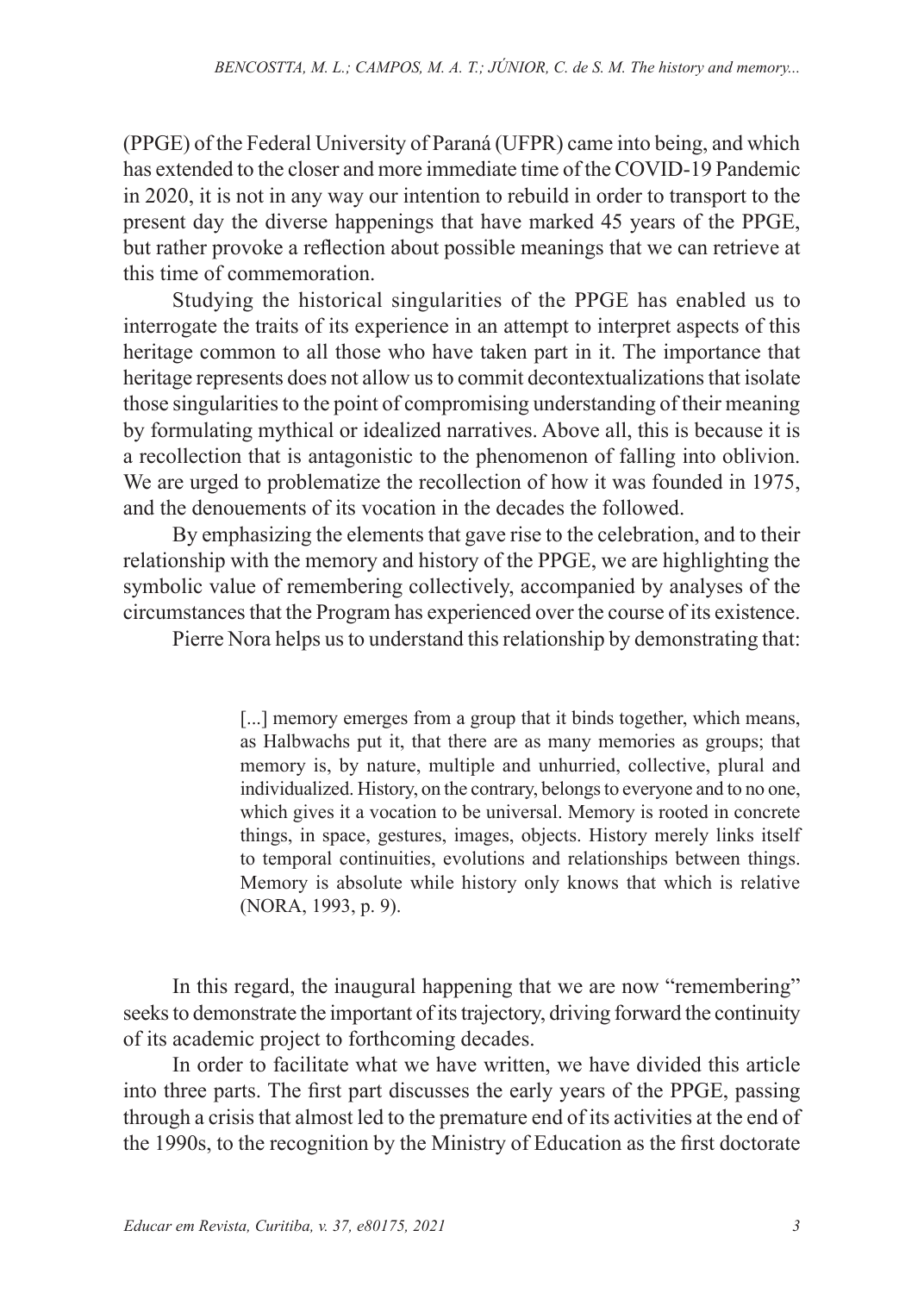(PPGE) of the Federal University of Paraná (UFPR) came into being, and which has extended to the closer and more immediate time of the COVID-19 Pandemic in 2020, it is not in any way our intention to rebuild in order to transport to the present day the diverse happenings that have marked 45 years of the PPGE, but rather provoke a reflection about possible meanings that we can retrieve at this time of commemoration.

Studying the historical singularities of the PPGE has enabled us to interrogate the traits of its experience in an attempt to interpret aspects of this heritage common to all those who have taken part in it. The importance that heritage represents does not allow us to commit decontextualizations that isolate those singularities to the point of compromising understanding of their meaning by formulating mythical or idealized narratives. Above all, this is because it is a recollection that is antagonistic to the phenomenon of falling into oblivion. We are urged to problematize the recollection of how it was founded in 1975, and the denouements of its vocation in the decades the followed.

By emphasizing the elements that gave rise to the celebration, and to their relationship with the memory and history of the PPGE, we are highlighting the symbolic value of remembering collectively, accompanied by analyses of the circumstances that the Program has experienced over the course of its existence.

Pierre Nora helps us to understand this relationship by demonstrating that:

[...] memory emerges from a group that it binds together, which means, as Halbwachs put it, that there are as many memories as groups; that memory is, by nature, multiple and unhurried, collective, plural and individualized. History, on the contrary, belongs to everyone and to no one, which gives it a vocation to be universal. Memory is rooted in concrete things, in space, gestures, images, objects. History merely links itself to temporal continuities, evolutions and relationships between things. Memory is absolute while history only knows that which is relative (NORA, 1993, p. 9).

In this regard, the inaugural happening that we are now "remembering" seeks to demonstrate the important of its trajectory, driving forward the continuity of its academic project to forthcoming decades.

In order to facilitate what we have written, we have divided this article into three parts. The first part discusses the early years of the PPGE, passing through a crisis that almost led to the premature end of its activities at the end of the 1990s, to the recognition by the Ministry of Education as the first doctorate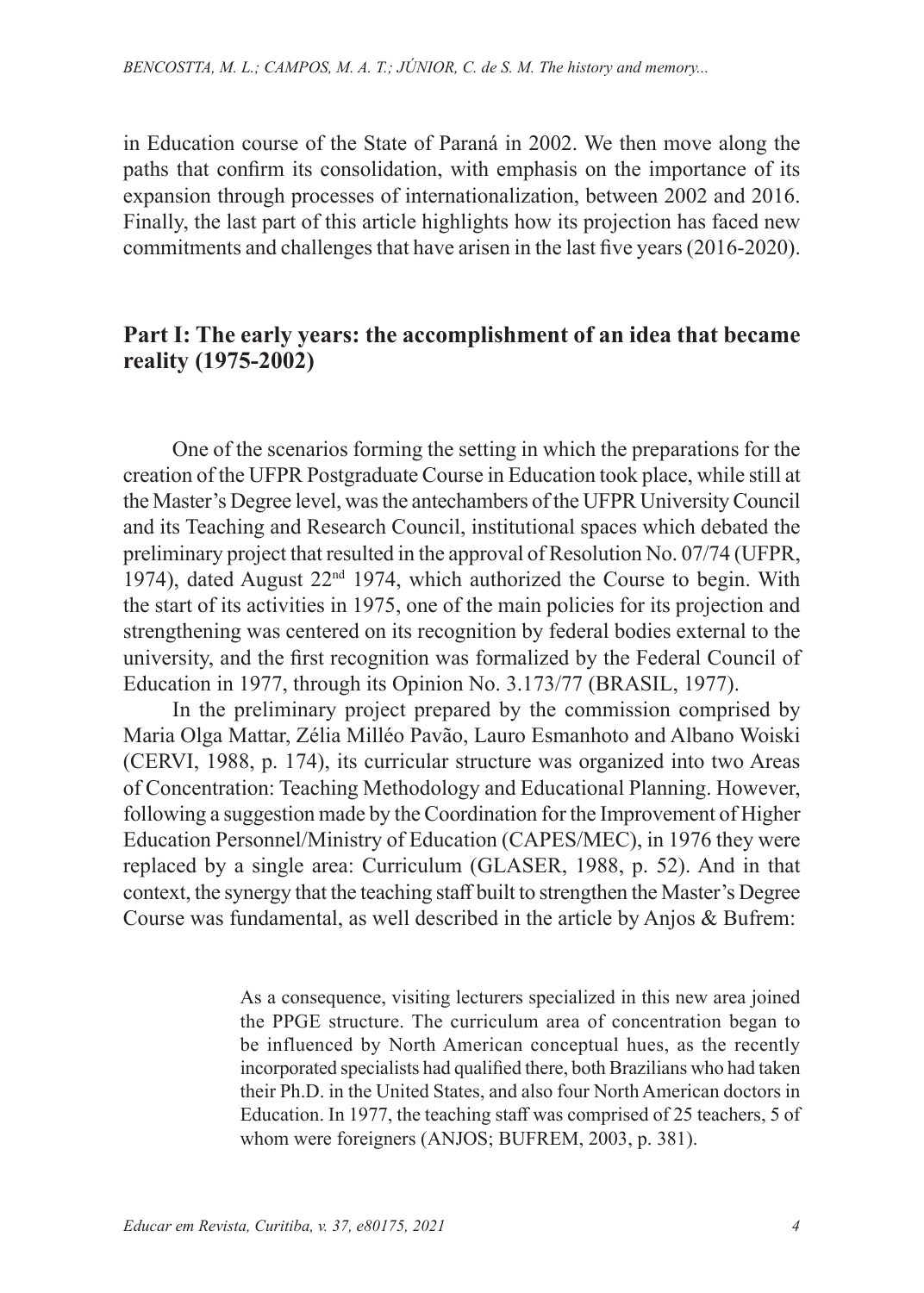in Education course of the State of Paraná in 2002. We then move along the paths that confirm its consolidation, with emphasis on the importance of its expansion through processes of internationalization, between 2002 and 2016. Finally, the last part of this article highlights how its projection has faced new commitments and challenges that have arisen in the last five years (2016-2020).

#### **Part I: The early years: the accomplishment of an idea that became reality (1975-2002)**

One of the scenarios forming the setting in which the preparations for the creation of the UFPR Postgraduate Course in Education took place, while still at the Master's Degree level, was the antechambers of the UFPR University Council and its Teaching and Research Council, institutional spaces which debated the preliminary project that resulted in the approval of Resolution No. 07/74 (UFPR, 1974), dated August 22<sup>nd</sup> 1974, which authorized the Course to begin. With the start of its activities in 1975, one of the main policies for its projection and strengthening was centered on its recognition by federal bodies external to the university, and the first recognition was formalized by the Federal Council of Education in 1977, through its Opinion No. 3.173/77 (BRASIL, 1977).

In the preliminary project prepared by the commission comprised by Maria Olga Mattar, Zélia Milléo Pavão, Lauro Esmanhoto and Albano Woiski (CERVI, 1988, p. 174), its curricular structure was organized into two Areas of Concentration: Teaching Methodology and Educational Planning. However, following a suggestion made by the Coordination for the Improvement of Higher Education Personnel/Ministry of Education (CAPES/MEC), in 1976 they were replaced by a single area: Curriculum (GLASER, 1988, p. 52). And in that context, the synergy that the teaching staff built to strengthen the Master's Degree Course was fundamental, as well described in the article by Anjos & Bufrem:

> As a consequence, visiting lecturers specialized in this new area joined the PPGE structure. The curriculum area of concentration began to be influenced by North American conceptual hues, as the recently incorporated specialists had qualified there, both Brazilians who had taken their Ph.D. in the United States, and also four North American doctors in Education. In 1977, the teaching staff was comprised of 25 teachers, 5 of whom were foreigners (ANJOS; BUFREM, 2003, p. 381).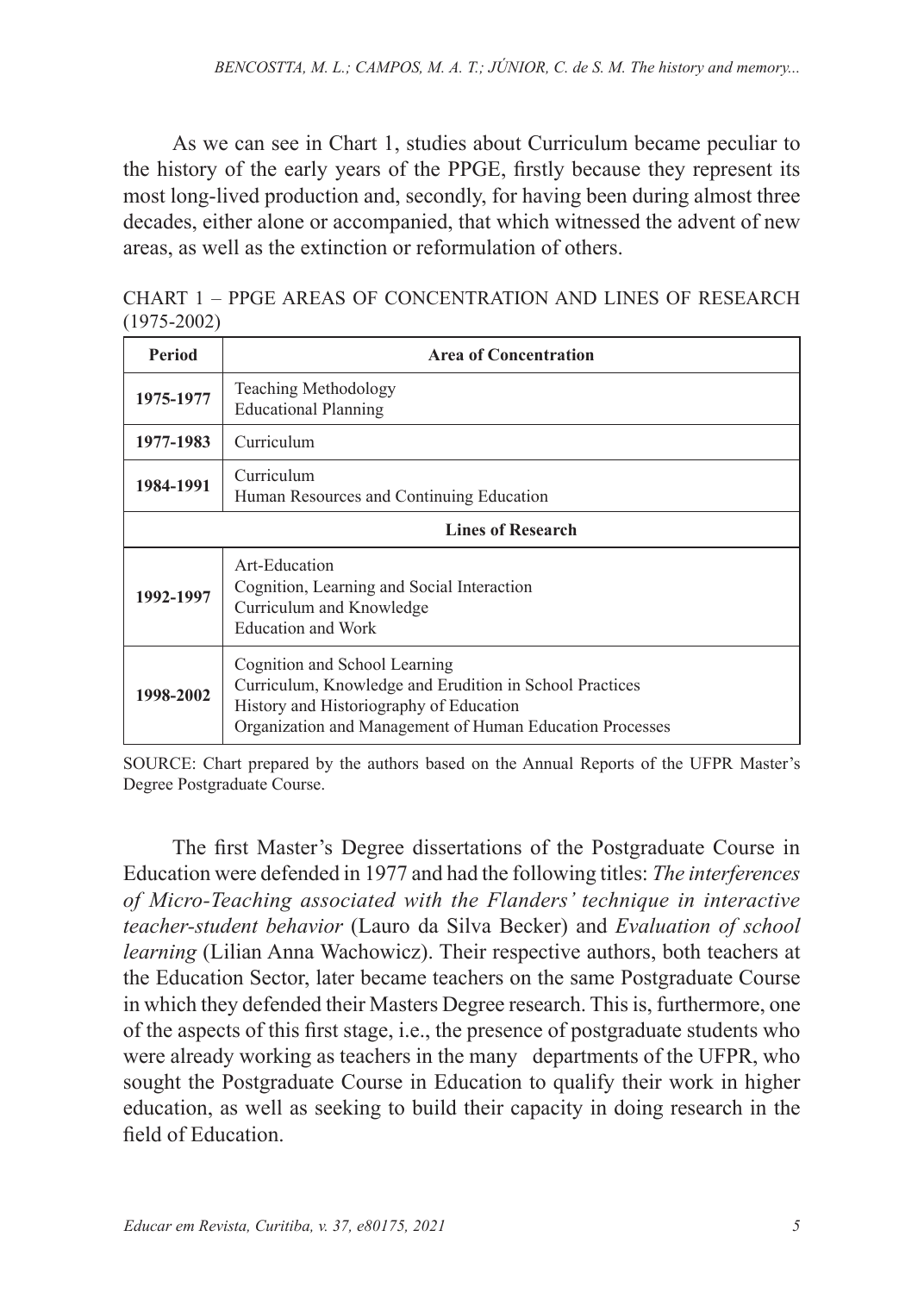As we can see in Chart 1, studies about Curriculum became peculiar to the history of the early years of the PPGE, firstly because they represent its most long-lived production and, secondly, for having been during almost three decades, either alone or accompanied, that which witnessed the advent of new areas, as well as the extinction or reformulation of others.

CHART 1 – PPGE AREAS OF CONCENTRATION AND LINES OF RESEARCH (1975-2002)

| Period                   | <b>Area of Concentration</b>                                                                                                                                                                    |  |
|--------------------------|-------------------------------------------------------------------------------------------------------------------------------------------------------------------------------------------------|--|
| 1975-1977                | Teaching Methodology<br><b>Educational Planning</b>                                                                                                                                             |  |
| 1977-1983                | Curriculum                                                                                                                                                                                      |  |
| 1984-1991                | Curriculum<br>Human Resources and Continuing Education                                                                                                                                          |  |
| <b>Lines of Research</b> |                                                                                                                                                                                                 |  |
| 1992-1997                | Art-Education<br>Cognition, Learning and Social Interaction<br>Curriculum and Knowledge<br><b>Education and Work</b>                                                                            |  |
| 1998-2002                | Cognition and School Learning<br>Curriculum, Knowledge and Erudition in School Practices<br>History and Historiography of Education<br>Organization and Management of Human Education Processes |  |

SOURCE: Chart prepared by the authors based on the Annual Reports of the UFPR Master's Degree Postgraduate Course.

The first Master's Degree dissertations of the Postgraduate Course in Education were defended in 1977 and had the following titles: *The interferences of Micro-Teaching associated with the Flanders' technique in interactive teacher-student behavior* (Lauro da Silva Becker) and *Evaluation of school learning* (Lilian Anna Wachowicz). Their respective authors, both teachers at the Education Sector, later became teachers on the same Postgraduate Course in which they defended their Masters Degree research. This is, furthermore, one of the aspects of this first stage, i.e., the presence of postgraduate students who were already working as teachers in the many departments of the UFPR, who sought the Postgraduate Course in Education to qualify their work in higher education, as well as seeking to build their capacity in doing research in the field of Education.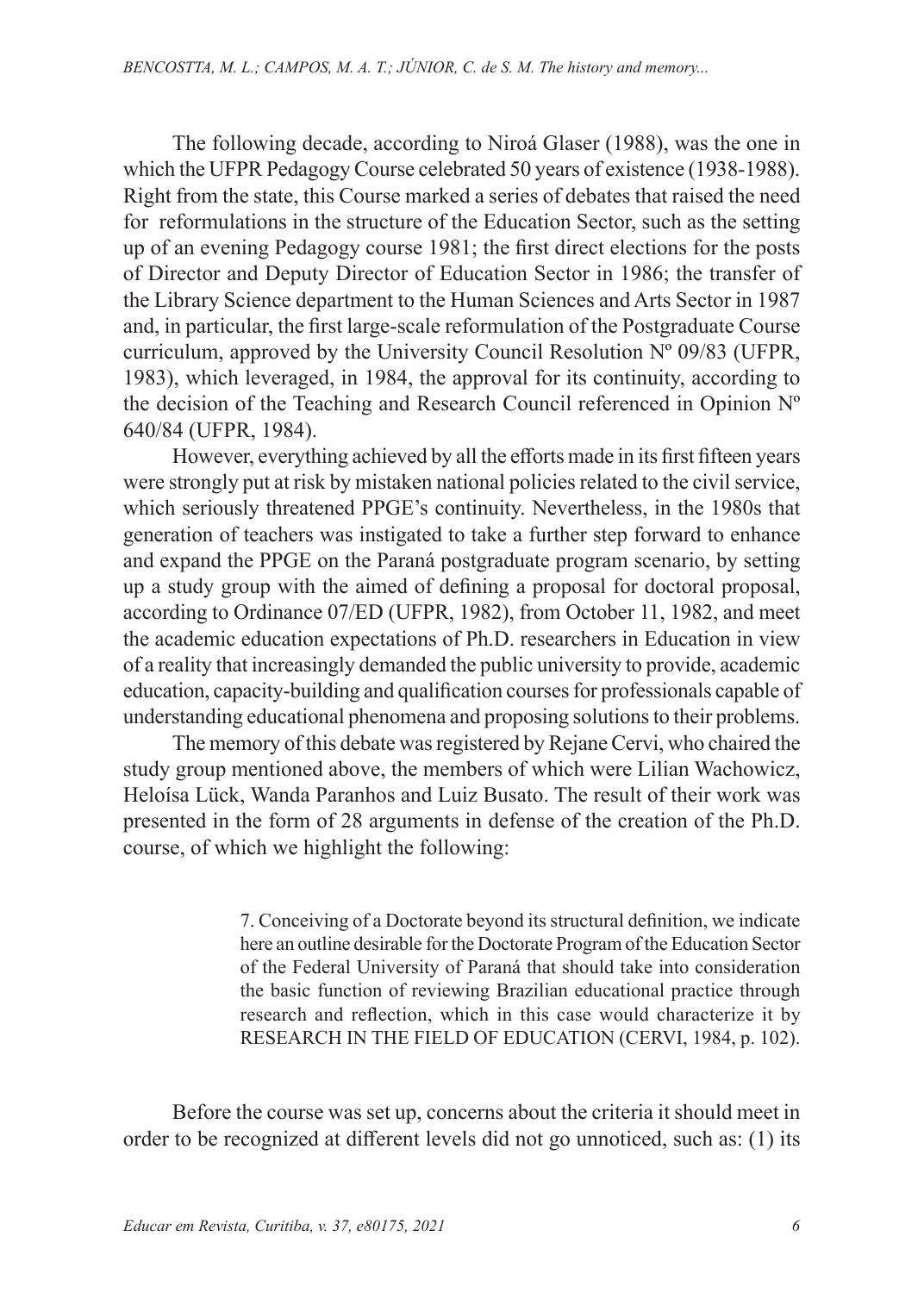The following decade, according to Niroá Glaser (1988), was the one in which the UFPR Pedagogy Course celebrated 50 years of existence (1938-1988). Right from the state, this Course marked a series of debates that raised the need for reformulations in the structure of the Education Sector, such as the setting up of an evening Pedagogy course 1981; the first direct elections for the posts of Director and Deputy Director of Education Sector in 1986; the transfer of the Library Science department to the Human Sciences and Arts Sector in 1987 and, in particular, the first large-scale reformulation of the Postgraduate Course curriculum, approved by the University Council Resolution Nº 09/83 (UFPR, 1983), which leveraged, in 1984, the approval for its continuity, according to the decision of the Teaching and Research Council referenced in Opinion Nº 640/84 (UFPR, 1984).

However, everything achieved by all the efforts made in its first fifteen years were strongly put at risk by mistaken national policies related to the civil service, which seriously threatened PPGE's continuity. Nevertheless, in the 1980s that generation of teachers was instigated to take a further step forward to enhance and expand the PPGE on the Paraná postgraduate program scenario, by setting up a study group with the aimed of defining a proposal for doctoral proposal, according to Ordinance 07/ED (UFPR, 1982), from October 11, 1982, and meet the academic education expectations of Ph.D. researchers in Education in view of a reality that increasingly demanded the public university to provide, academic education, capacity-building and qualification courses for professionals capable of understanding educational phenomena and proposing solutions to their problems.

The memory of this debate was registered by Rejane Cervi, who chaired the study group mentioned above, the members of which were Lilian Wachowicz, Heloísa Lück, Wanda Paranhos and Luiz Busato. The result of their work was presented in the form of 28 arguments in defense of the creation of the Ph.D. course, of which we highlight the following:

> 7. Conceiving of a Doctorate beyond its structural definition, we indicate here an outline desirable for the Doctorate Program of the Education Sector of the Federal University of Paraná that should take into consideration the basic function of reviewing Brazilian educational practice through research and reflection, which in this case would characterize it by RESEARCH IN THE FIELD OF EDUCATION (CERVI, 1984, p. 102).

Before the course was set up, concerns about the criteria it should meet in order to be recognized at different levels did not go unnoticed, such as: (1) its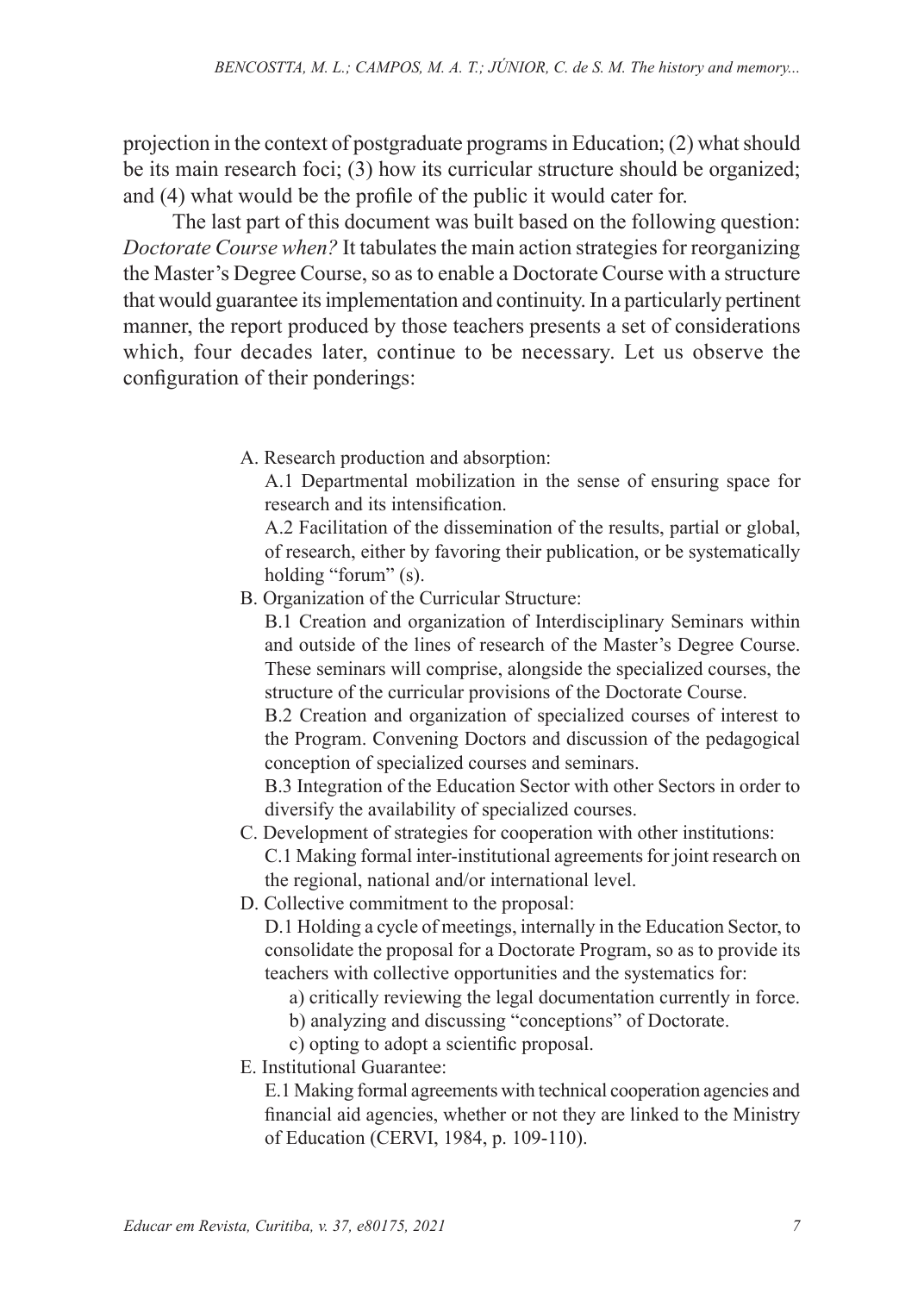projection in the context of postgraduate programs in Education; (2) what should be its main research foci; (3) how its curricular structure should be organized; and (4) what would be the profile of the public it would cater for.

The last part of this document was built based on the following question: *Doctorate Course when?* It tabulates the main action strategies for reorganizing the Master's Degree Course, so as to enable a Doctorate Course with a structure that would guarantee its implementation and continuity. In a particularly pertinent manner, the report produced by those teachers presents a set of considerations which, four decades later, continue to be necessary. Let us observe the configuration of their ponderings:

A. Research production and absorption:

A.1 Departmental mobilization in the sense of ensuring space for research and its intensification.

A.2 Facilitation of the dissemination of the results, partial or global, of research, either by favoring their publication, or be systematically holding "forum" (s).

B. Organization of the Curricular Structure:

B.1 Creation and organization of Interdisciplinary Seminars within and outside of the lines of research of the Master's Degree Course. These seminars will comprise, alongside the specialized courses, the structure of the curricular provisions of the Doctorate Course.

B.2 Creation and organization of specialized courses of interest to the Program. Convening Doctors and discussion of the pedagogical conception of specialized courses and seminars.

B.3 Integration of the Education Sector with other Sectors in order to diversify the availability of specialized courses.

- C. Development of strategies for cooperation with other institutions: C.1 Making formal inter-institutional agreements for joint research on the regional, national and/or international level.
- D. Collective commitment to the proposal:

D.1 Holding a cycle of meetings, internally in the Education Sector, to consolidate the proposal for a Doctorate Program, so as to provide its teachers with collective opportunities and the systematics for:

- a) critically reviewing the legal documentation currently in force.
- b) analyzing and discussing "conceptions" of Doctorate.
- c) opting to adopt a scientific proposal.
- E. Institutional Guarantee:

E.1 Making formal agreements with technical cooperation agencies and financial aid agencies, whether or not they are linked to the Ministry of Education (CERVI, 1984, p. 109-110).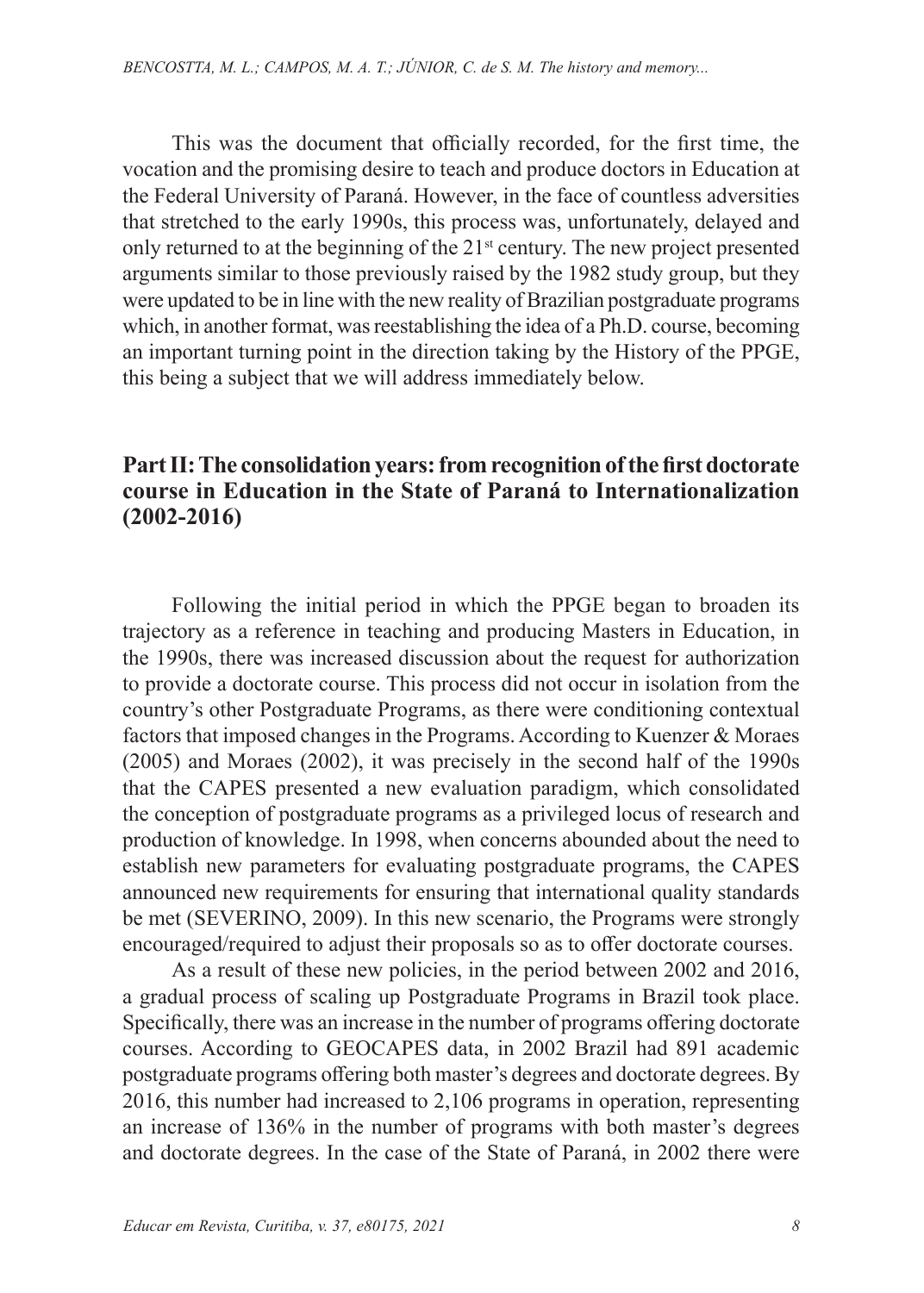This was the document that officially recorded, for the first time, the vocation and the promising desire to teach and produce doctors in Education at the Federal University of Paraná. However, in the face of countless adversities that stretched to the early 1990s, this process was, unfortunately, delayed and only returned to at the beginning of the 21st century. The new project presented arguments similar to those previously raised by the 1982 study group, but they were updated to be in line with the new reality of Brazilian postgraduate programs which, in another format, was reestablishing the idea of a Ph.D. course, becoming an important turning point in the direction taking by the History of the PPGE, this being a subject that we will address immediately below.

## **Part II: The consolidation years: from recognition of the first doctorate course in Education in the State of Paraná to Internationalization (2002-2016)**

Following the initial period in which the PPGE began to broaden its trajectory as a reference in teaching and producing Masters in Education, in the 1990s, there was increased discussion about the request for authorization to provide a doctorate course. This process did not occur in isolation from the country's other Postgraduate Programs, as there were conditioning contextual factors that imposed changes in the Programs. According to Kuenzer & Moraes (2005) and Moraes (2002), it was precisely in the second half of the 1990s that the CAPES presented a new evaluation paradigm, which consolidated the conception of postgraduate programs as a privileged locus of research and production of knowledge. In 1998, when concerns abounded about the need to establish new parameters for evaluating postgraduate programs, the CAPES announced new requirements for ensuring that international quality standards be met (SEVERINO, 2009). In this new scenario, the Programs were strongly encouraged/required to adjust their proposals so as to offer doctorate courses.

As a result of these new policies, in the period between 2002 and 2016, a gradual process of scaling up Postgraduate Programs in Brazil took place. Specifically, there was an increase in the number of programs offering doctorate courses. According to GEOCAPES data, in 2002 Brazil had 891 academic postgraduate programs offering both master's degrees and doctorate degrees. By 2016, this number had increased to 2,106 programs in operation, representing an increase of 136% in the number of programs with both master's degrees and doctorate degrees. In the case of the State of Paraná, in 2002 there were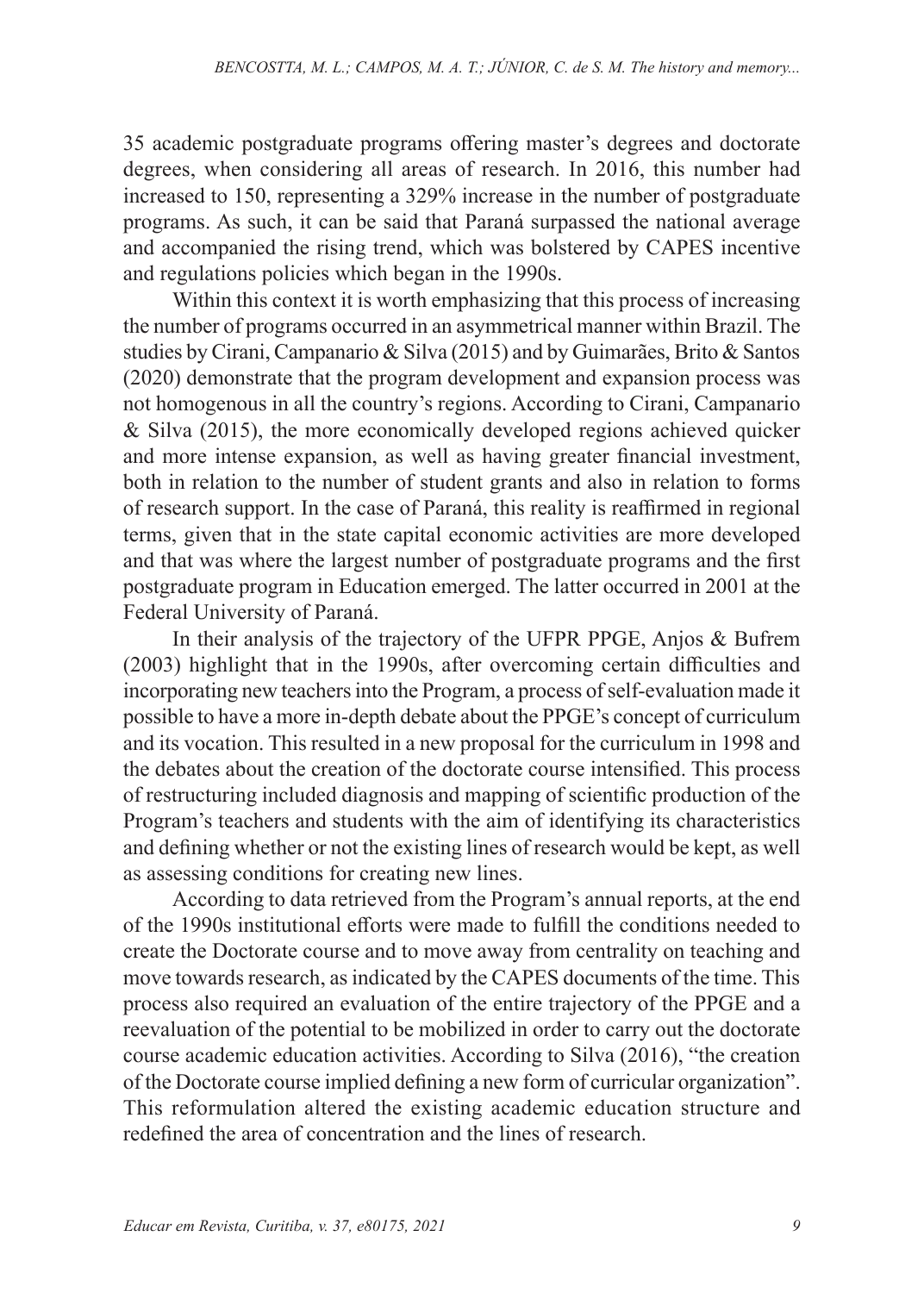35 academic postgraduate programs offering master's degrees and doctorate degrees, when considering all areas of research. In 2016, this number had increased to 150, representing a 329% increase in the number of postgraduate programs. As such, it can be said that Paraná surpassed the national average and accompanied the rising trend, which was bolstered by CAPES incentive and regulations policies which began in the 1990s.

Within this context it is worth emphasizing that this process of increasing the number of programs occurred in an asymmetrical manner within Brazil. The studies by Cirani, Campanario & Silva (2015) and by Guimarães, Brito & Santos (2020) demonstrate that the program development and expansion process was not homogenous in all the country's regions. According to Cirani, Campanario & Silva (2015), the more economically developed regions achieved quicker and more intense expansion, as well as having greater financial investment, both in relation to the number of student grants and also in relation to forms of research support. In the case of Paraná, this reality is reaffirmed in regional terms, given that in the state capital economic activities are more developed and that was where the largest number of postgraduate programs and the first postgraduate program in Education emerged. The latter occurred in 2001 at the Federal University of Paraná.

In their analysis of the trajectory of the UFPR PPGE, Anjos & Bufrem (2003) highlight that in the 1990s, after overcoming certain difficulties and incorporating new teachers into the Program, a process of self-evaluation made it possible to have a more in-depth debate about the PPGE's concept of curriculum and its vocation. This resulted in a new proposal for the curriculum in 1998 and the debates about the creation of the doctorate course intensified. This process of restructuring included diagnosis and mapping of scientific production of the Program's teachers and students with the aim of identifying its characteristics and defining whether or not the existing lines of research would be kept, as well as assessing conditions for creating new lines.

According to data retrieved from the Program's annual reports, at the end of the 1990s institutional efforts were made to fulfill the conditions needed to create the Doctorate course and to move away from centrality on teaching and move towards research, as indicated by the CAPES documents of the time. This process also required an evaluation of the entire trajectory of the PPGE and a reevaluation of the potential to be mobilized in order to carry out the doctorate course academic education activities. According to Silva (2016), "the creation of the Doctorate course implied defining a new form of curricular organization". This reformulation altered the existing academic education structure and redefined the area of concentration and the lines of research.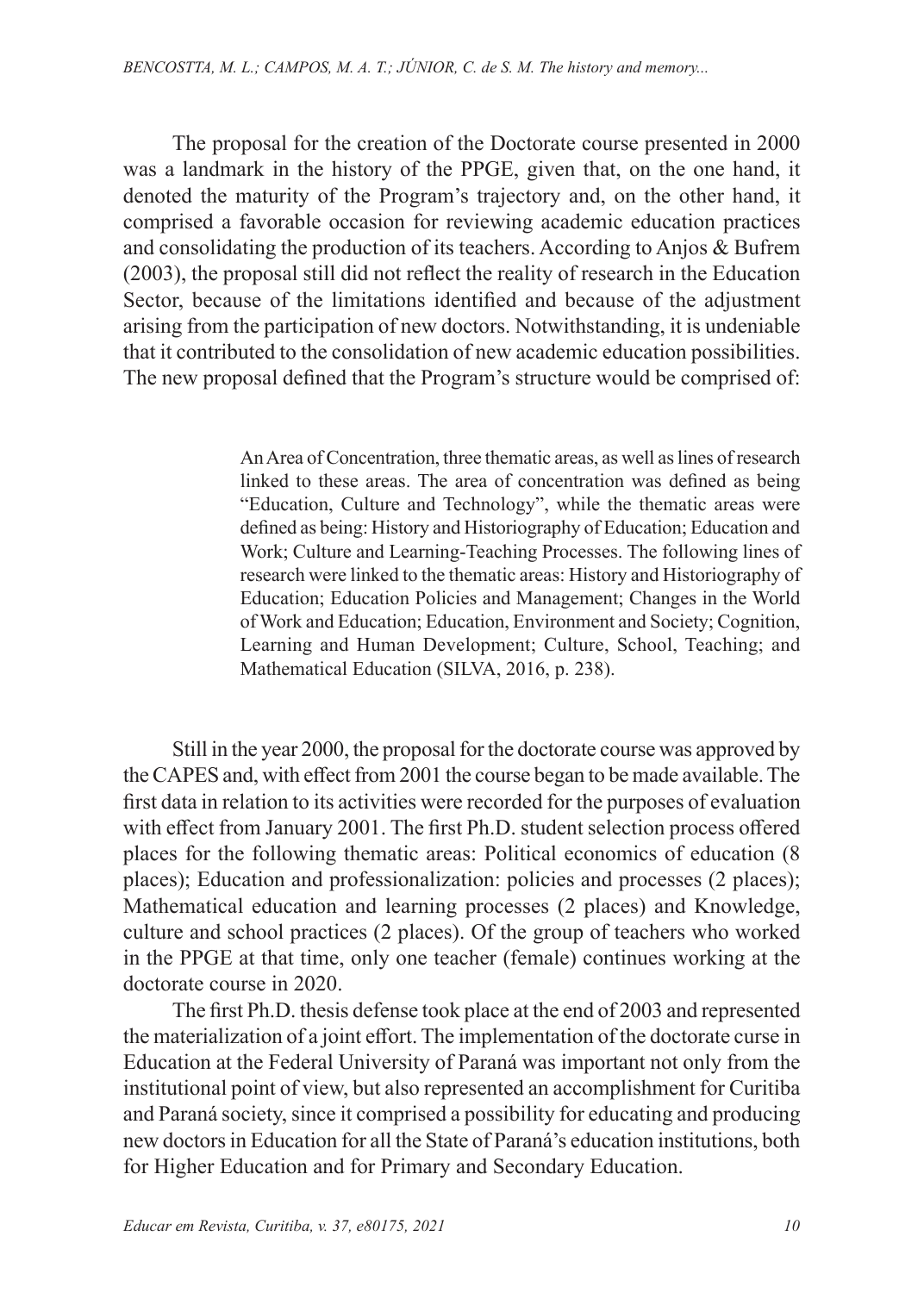The proposal for the creation of the Doctorate course presented in 2000 was a landmark in the history of the PPGE, given that, on the one hand, it denoted the maturity of the Program's trajectory and, on the other hand, it comprised a favorable occasion for reviewing academic education practices and consolidating the production of its teachers. According to Anjos & Bufrem (2003), the proposal still did not reflect the reality of research in the Education Sector, because of the limitations identified and because of the adjustment arising from the participation of new doctors. Notwithstanding, it is undeniable that it contributed to the consolidation of new academic education possibilities. The new proposal defined that the Program's structure would be comprised of:

> An Area of Concentration, three thematic areas, as well as lines of research linked to these areas. The area of concentration was defined as being "Education, Culture and Technology", while the thematic areas were defined as being: History and Historiography of Education; Education and Work; Culture and Learning-Teaching Processes. The following lines of research were linked to the thematic areas: History and Historiography of Education; Education Policies and Management; Changes in the World of Work and Education; Education, Environment and Society; Cognition, Learning and Human Development; Culture, School, Teaching; and Mathematical Education (SILVA, 2016, p. 238).

Still in the year 2000, the proposal for the doctorate course was approved by the CAPES and, with effect from 2001 the course began to be made available. The first data in relation to its activities were recorded for the purposes of evaluation with effect from January 2001. The first Ph.D. student selection process offered places for the following thematic areas: Political economics of education (8 places); Education and professionalization: policies and processes (2 places); Mathematical education and learning processes (2 places) and Knowledge, culture and school practices (2 places). Of the group of teachers who worked in the PPGE at that time, only one teacher (female) continues working at the doctorate course in 2020.

The first Ph.D. thesis defense took place at the end of 2003 and represented the materialization of a joint effort. The implementation of the doctorate curse in Education at the Federal University of Paraná was important not only from the institutional point of view, but also represented an accomplishment for Curitiba and Paraná society, since it comprised a possibility for educating and producing new doctors in Education for all the State of Paraná's education institutions, both for Higher Education and for Primary and Secondary Education.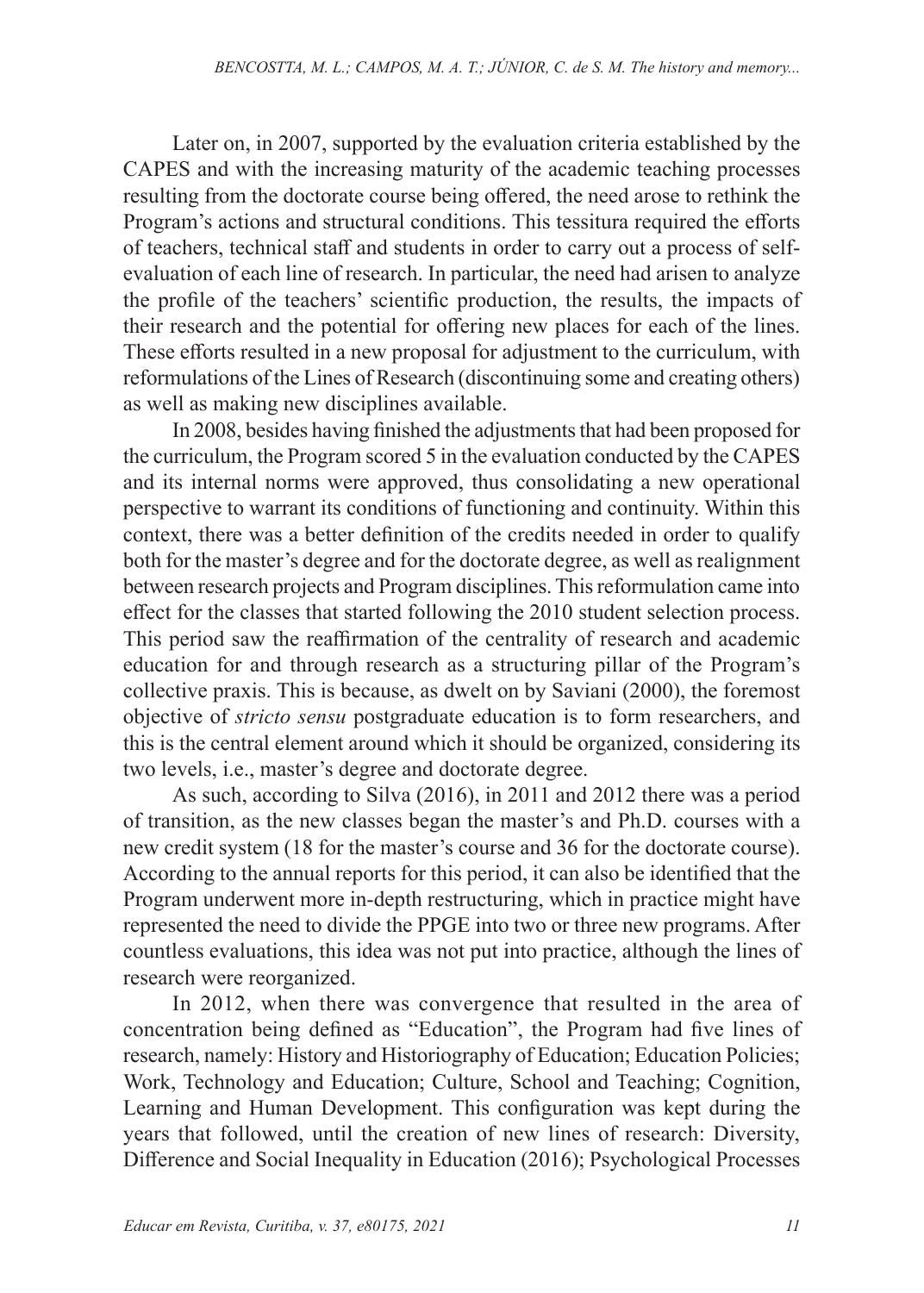Later on, in 2007, supported by the evaluation criteria established by the CAPES and with the increasing maturity of the academic teaching processes resulting from the doctorate course being offered, the need arose to rethink the Program's actions and structural conditions. This tessitura required the efforts of teachers, technical staff and students in order to carry out a process of selfevaluation of each line of research. In particular, the need had arisen to analyze the profile of the teachers' scientific production, the results, the impacts of their research and the potential for offering new places for each of the lines. These efforts resulted in a new proposal for adjustment to the curriculum, with reformulations of the Lines of Research (discontinuing some and creating others) as well as making new disciplines available.

In 2008, besides having finished the adjustments that had been proposed for the curriculum, the Program scored 5 in the evaluation conducted by the CAPES and its internal norms were approved, thus consolidating a new operational perspective to warrant its conditions of functioning and continuity. Within this context, there was a better definition of the credits needed in order to qualify both for the master's degree and for the doctorate degree, as well as realignment between research projects and Program disciplines. This reformulation came into effect for the classes that started following the 2010 student selection process. This period saw the reaffirmation of the centrality of research and academic education for and through research as a structuring pillar of the Program's collective praxis. This is because, as dwelt on by Saviani (2000), the foremost objective of *stricto sensu* postgraduate education is to form researchers, and this is the central element around which it should be organized, considering its two levels, i.e., master's degree and doctorate degree.

As such, according to Silva (2016), in 2011 and 2012 there was a period of transition, as the new classes began the master's and Ph.D. courses with a new credit system (18 for the master's course and 36 for the doctorate course). According to the annual reports for this period, it can also be identified that the Program underwent more in-depth restructuring, which in practice might have represented the need to divide the PPGE into two or three new programs. After countless evaluations, this idea was not put into practice, although the lines of research were reorganized.

In 2012, when there was convergence that resulted in the area of concentration being defined as "Education", the Program had five lines of research, namely: History and Historiography of Education; Education Policies; Work, Technology and Education; Culture, School and Teaching; Cognition, Learning and Human Development. This configuration was kept during the years that followed, until the creation of new lines of research: Diversity, Difference and Social Inequality in Education (2016); Psychological Processes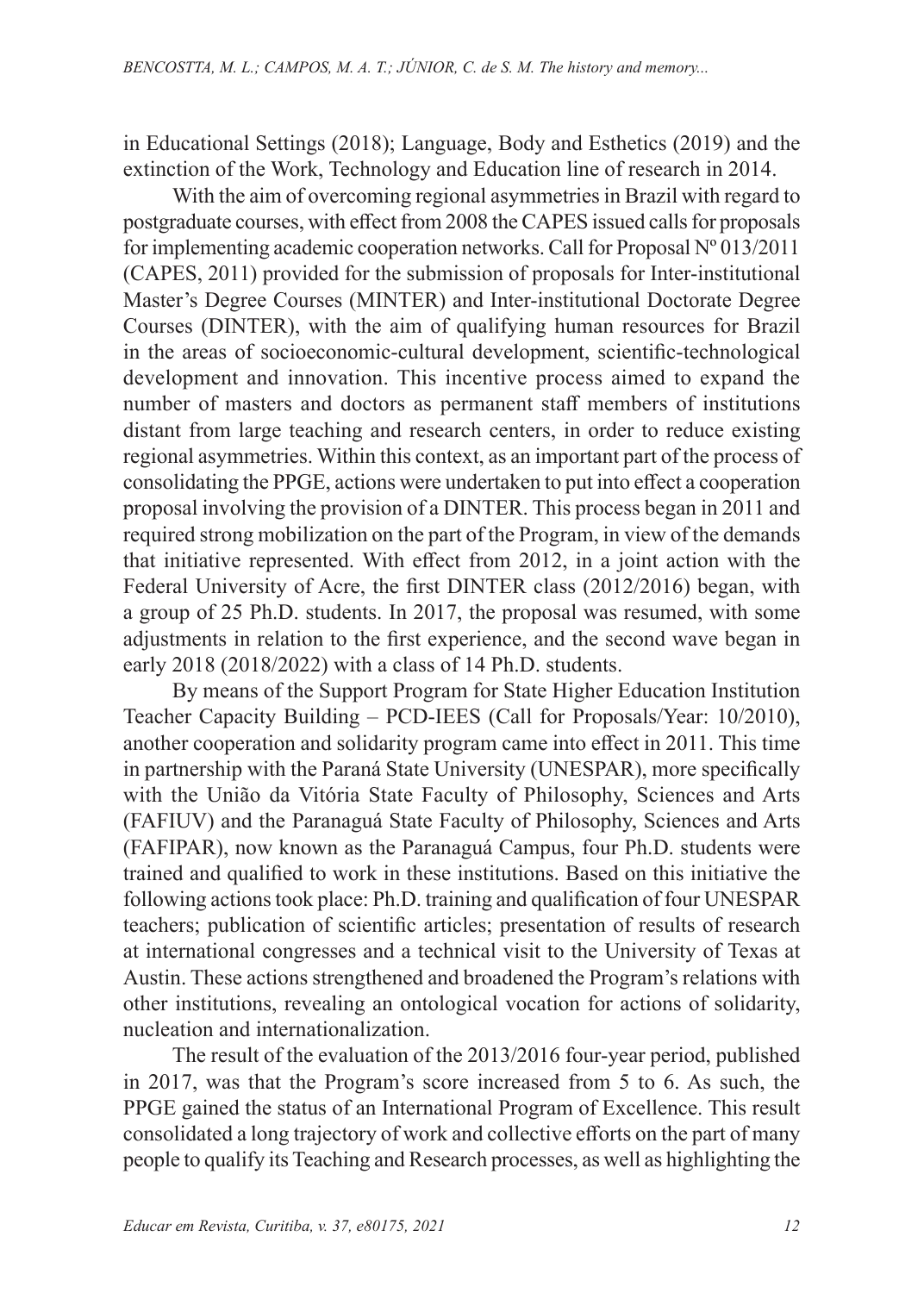in Educational Settings (2018); Language, Body and Esthetics (2019) and the extinction of the Work, Technology and Education line of research in 2014.

With the aim of overcoming regional asymmetries in Brazil with regard to postgraduate courses, with effect from 2008 the CAPES issued calls for proposals for implementing academic cooperation networks. Call for Proposal  $N^{\circ}013/2011$ (CAPES, 2011) provided for the submission of proposals for Inter-institutional Master's Degree Courses (MINTER) and Inter-institutional Doctorate Degree Courses (DINTER), with the aim of qualifying human resources for Brazil in the areas of socioeconomic-cultural development, scientific-technological development and innovation. This incentive process aimed to expand the number of masters and doctors as permanent staff members of institutions distant from large teaching and research centers, in order to reduce existing regional asymmetries. Within this context, as an important part of the process of consolidating the PPGE, actions were undertaken to put into effect a cooperation proposal involving the provision of a DINTER. This process began in 2011 and required strong mobilization on the part of the Program, in view of the demands that initiative represented. With effect from 2012, in a joint action with the Federal University of Acre, the first DINTER class (2012/2016) began, with a group of 25 Ph.D. students. In 2017, the proposal was resumed, with some adjustments in relation to the first experience, and the second wave began in early 2018 (2018/2022) with a class of 14 Ph.D. students.

By means of the Support Program for State Higher Education Institution Teacher Capacity Building – PCD-IEES (Call for Proposals/Year: 10/2010), another cooperation and solidarity program came into effect in 2011. This time in partnership with the Paraná State University (UNESPAR), more specifically with the União da Vitória State Faculty of Philosophy, Sciences and Arts (FAFIUV) and the Paranaguá State Faculty of Philosophy, Sciences and Arts (FAFIPAR), now known as the Paranaguá Campus, four Ph.D. students were trained and qualified to work in these institutions. Based on this initiative the following actions took place: Ph.D. training and qualification of four UNESPAR teachers; publication of scientific articles; presentation of results of research at international congresses and a technical visit to the University of Texas at Austin. These actions strengthened and broadened the Program's relations with other institutions, revealing an ontological vocation for actions of solidarity, nucleation and internationalization.

The result of the evaluation of the 2013/2016 four-year period, published in 2017, was that the Program's score increased from 5 to 6. As such, the PPGE gained the status of an International Program of Excellence. This result consolidated a long trajectory of work and collective efforts on the part of many people to qualify its Teaching and Research processes, as well as highlighting the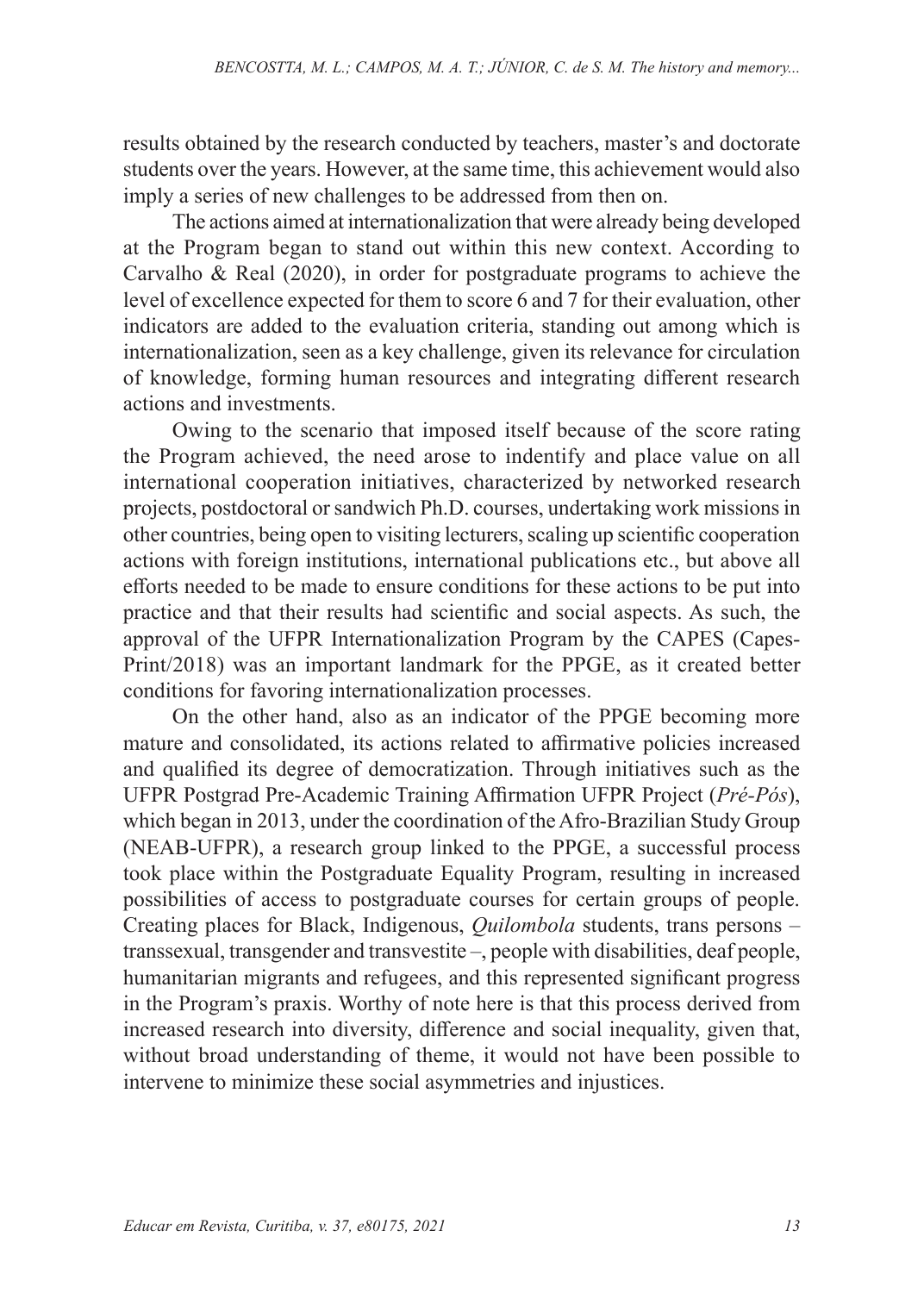results obtained by the research conducted by teachers, master's and doctorate students over the years. However, at the same time, this achievement would also imply a series of new challenges to be addressed from then on.

The actions aimed at internationalization that were already being developed at the Program began to stand out within this new context. According to Carvalho & Real (2020), in order for postgraduate programs to achieve the level of excellence expected for them to score 6 and 7 for their evaluation, other indicators are added to the evaluation criteria, standing out among which is internationalization, seen as a key challenge, given its relevance for circulation of knowledge, forming human resources and integrating different research actions and investments.

Owing to the scenario that imposed itself because of the score rating the Program achieved, the need arose to indentify and place value on all international cooperation initiatives, characterized by networked research projects, postdoctoral or sandwich Ph.D. courses, undertaking work missions in other countries, being open to visiting lecturers, scaling up scientific cooperation actions with foreign institutions, international publications etc., but above all efforts needed to be made to ensure conditions for these actions to be put into practice and that their results had scientific and social aspects. As such, the approval of the UFPR Internationalization Program by the CAPES (Capes-Print/2018) was an important landmark for the PPGE, as it created better conditions for favoring internationalization processes.

On the other hand, also as an indicator of the PPGE becoming more mature and consolidated, its actions related to affirmative policies increased and qualified its degree of democratization. Through initiatives such as the UFPR Postgrad Pre-Academic Training Affirmation UFPR Project (*Pré-Pós*), which began in 2013, under the coordination of the Afro-Brazilian Study Group (NEAB-UFPR), a research group linked to the PPGE, a successful process took place within the Postgraduate Equality Program, resulting in increased possibilities of access to postgraduate courses for certain groups of people. Creating places for Black, Indigenous, *Quilombola* students, trans persons – transsexual, transgender and transvestite –, people with disabilities, deaf people, humanitarian migrants and refugees, and this represented significant progress in the Program's praxis. Worthy of note here is that this process derived from increased research into diversity, difference and social inequality, given that, without broad understanding of theme, it would not have been possible to intervene to minimize these social asymmetries and injustices.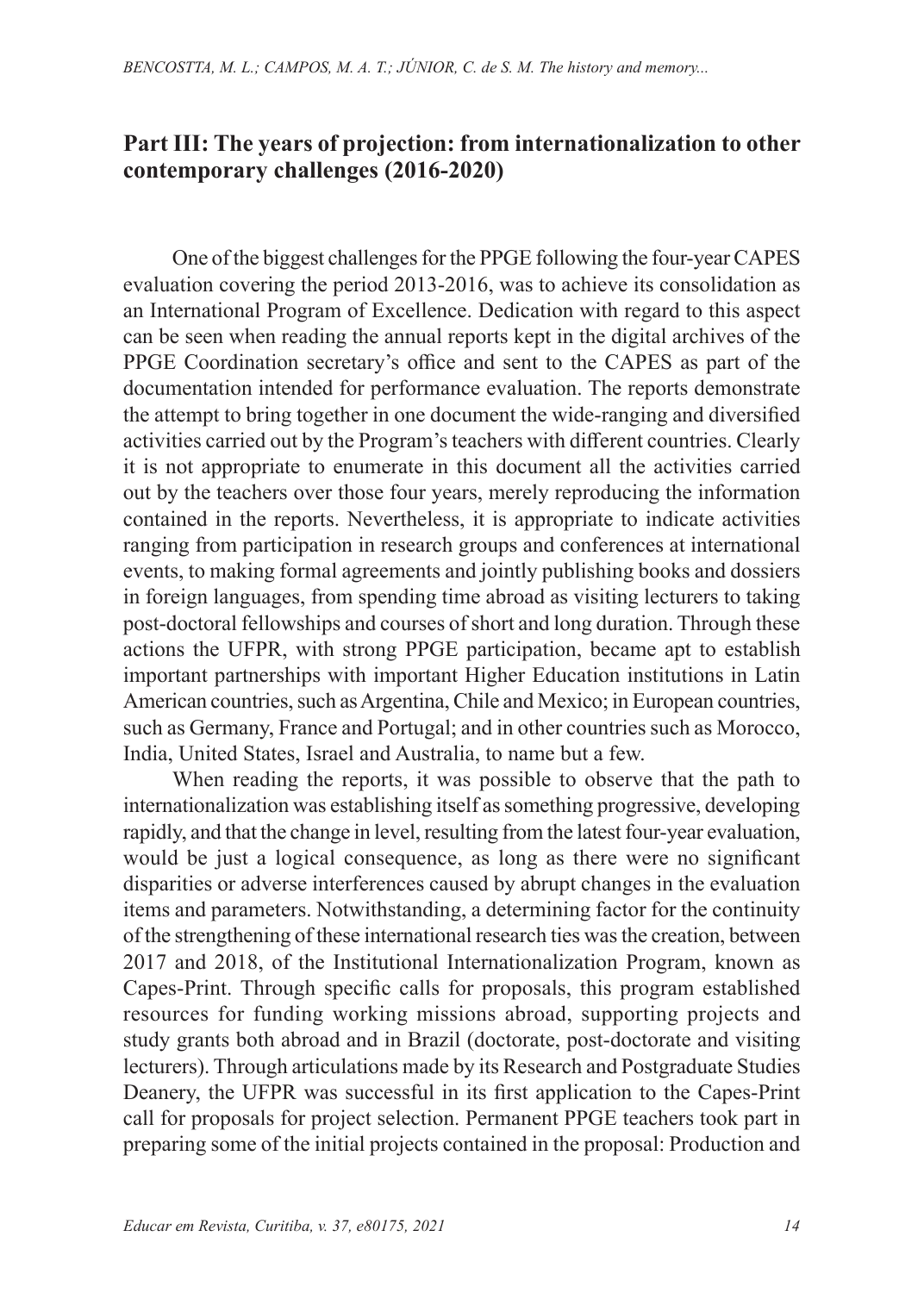#### **Part III: The years of projection: from internationalization to other contemporary challenges (2016-2020)**

One of the biggest challenges for the PPGE following the four-year CAPES evaluation covering the period 2013-2016, was to achieve its consolidation as an International Program of Excellence. Dedication with regard to this aspect can be seen when reading the annual reports kept in the digital archives of the PPGE Coordination secretary's office and sent to the CAPES as part of the documentation intended for performance evaluation. The reports demonstrate the attempt to bring together in one document the wide-ranging and diversified activities carried out by the Program's teachers with different countries. Clearly it is not appropriate to enumerate in this document all the activities carried out by the teachers over those four years, merely reproducing the information contained in the reports. Nevertheless, it is appropriate to indicate activities ranging from participation in research groups and conferences at international events, to making formal agreements and jointly publishing books and dossiers in foreign languages, from spending time abroad as visiting lecturers to taking post-doctoral fellowships and courses of short and long duration. Through these actions the UFPR, with strong PPGE participation, became apt to establish important partnerships with important Higher Education institutions in Latin American countries, such as Argentina, Chile and Mexico; in European countries, such as Germany, France and Portugal; and in other countries such as Morocco, India, United States, Israel and Australia, to name but a few.

When reading the reports, it was possible to observe that the path to internationalization was establishing itself as something progressive, developing rapidly, and that the change in level, resulting from the latest four-year evaluation, would be just a logical consequence, as long as there were no significant disparities or adverse interferences caused by abrupt changes in the evaluation items and parameters. Notwithstanding, a determining factor for the continuity of the strengthening of these international research ties was the creation, between 2017 and 2018, of the Institutional Internationalization Program, known as Capes-Print. Through specific calls for proposals, this program established resources for funding working missions abroad, supporting projects and study grants both abroad and in Brazil (doctorate, post-doctorate and visiting lecturers). Through articulations made by its Research and Postgraduate Studies Deanery, the UFPR was successful in its first application to the Capes-Print call for proposals for project selection. Permanent PPGE teachers took part in preparing some of the initial projects contained in the proposal: Production and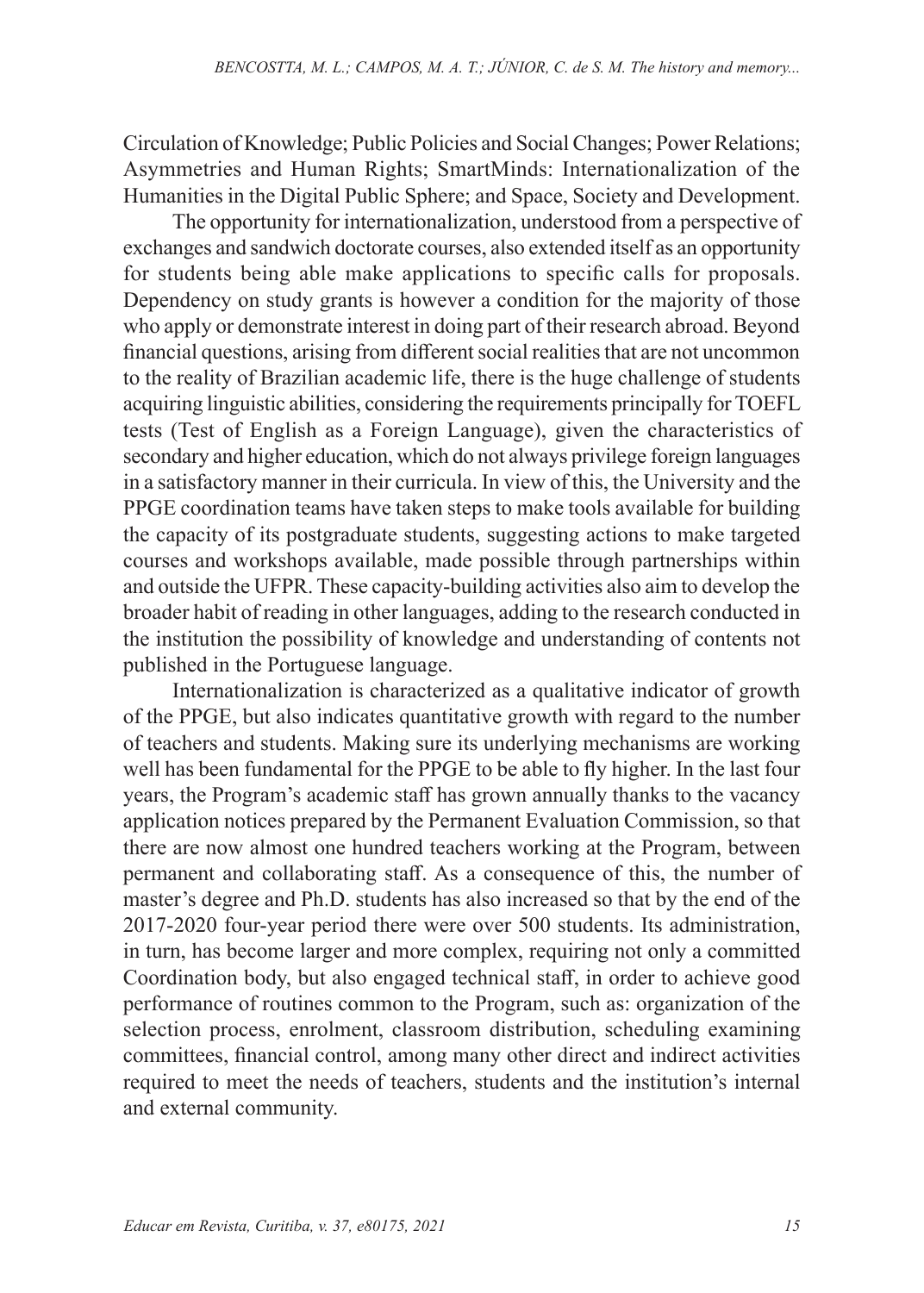Circulation of Knowledge; Public Policies and Social Changes; Power Relations; Asymmetries and Human Rights; SmartMinds: Internationalization of the Humanities in the Digital Public Sphere; and Space, Society and Development.

The opportunity for internationalization, understood from a perspective of exchanges and sandwich doctorate courses, also extended itself as an opportunity for students being able make applications to specific calls for proposals. Dependency on study grants is however a condition for the majority of those who apply or demonstrate interest in doing part of their research abroad. Beyond financial questions, arising from different social realities that are not uncommon to the reality of Brazilian academic life, there is the huge challenge of students acquiring linguistic abilities, considering the requirements principally for TOEFL tests (Test of English as a Foreign Language), given the characteristics of secondary and higher education, which do not always privilege foreign languages in a satisfactory manner in their curricula. In view of this, the University and the PPGE coordination teams have taken steps to make tools available for building the capacity of its postgraduate students, suggesting actions to make targeted courses and workshops available, made possible through partnerships within and outside the UFPR. These capacity-building activities also aim to develop the broader habit of reading in other languages, adding to the research conducted in the institution the possibility of knowledge and understanding of contents not published in the Portuguese language.

Internationalization is characterized as a qualitative indicator of growth of the PPGE, but also indicates quantitative growth with regard to the number of teachers and students. Making sure its underlying mechanisms are working well has been fundamental for the PPGE to be able to fly higher. In the last four years, the Program's academic staff has grown annually thanks to the vacancy application notices prepared by the Permanent Evaluation Commission, so that there are now almost one hundred teachers working at the Program, between permanent and collaborating staff. As a consequence of this, the number of master's degree and Ph.D. students has also increased so that by the end of the 2017-2020 four-year period there were over 500 students. Its administration, in turn, has become larger and more complex, requiring not only a committed Coordination body, but also engaged technical staff, in order to achieve good performance of routines common to the Program, such as: organization of the selection process, enrolment, classroom distribution, scheduling examining committees, financial control, among many other direct and indirect activities required to meet the needs of teachers, students and the institution's internal and external community.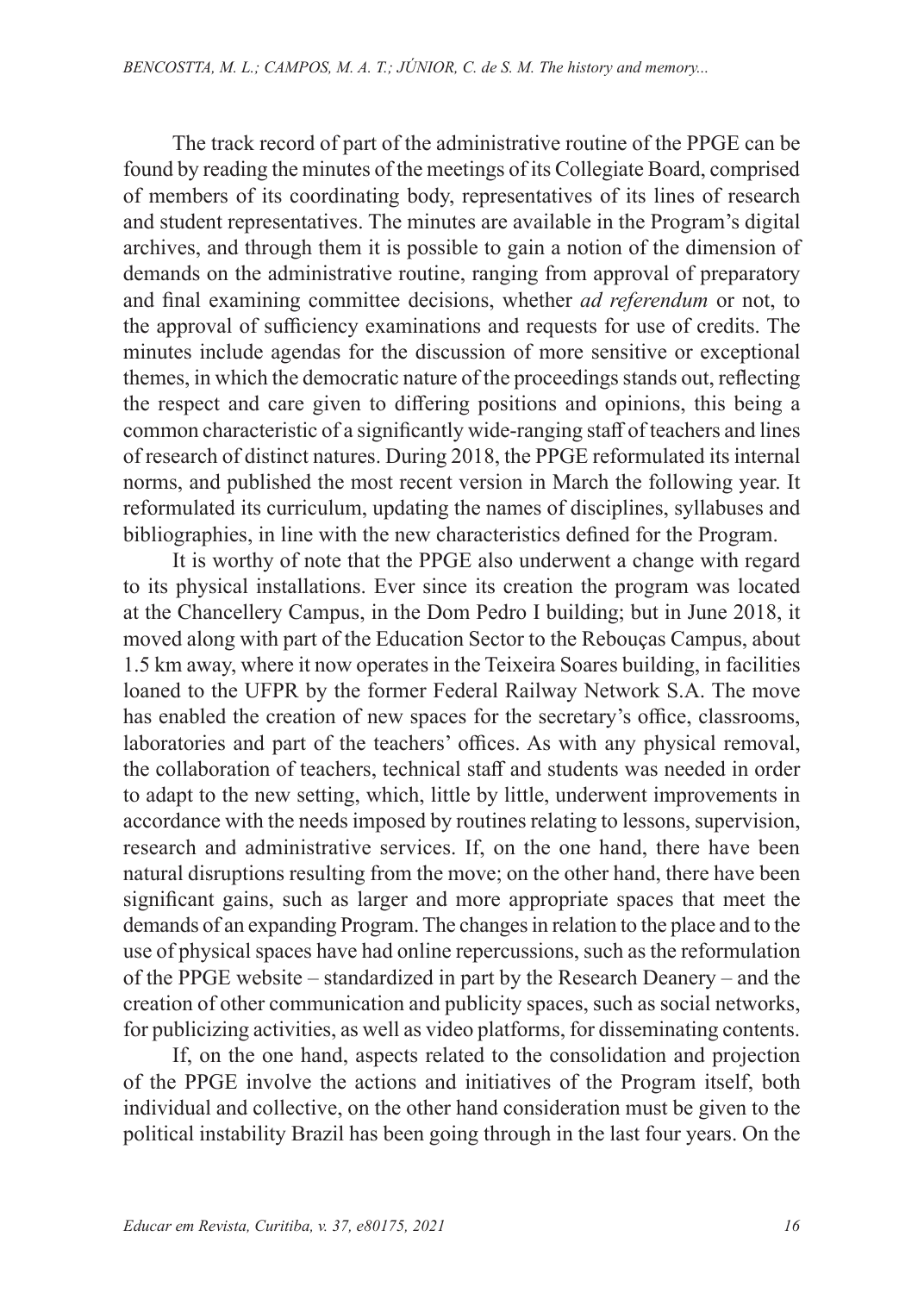The track record of part of the administrative routine of the PPGE can be found by reading the minutes of the meetings of its Collegiate Board, comprised of members of its coordinating body, representatives of its lines of research and student representatives. The minutes are available in the Program's digital archives, and through them it is possible to gain a notion of the dimension of demands on the administrative routine, ranging from approval of preparatory and final examining committee decisions, whether *ad referendum* or not, to the approval of sufficiency examinations and requests for use of credits. The minutes include agendas for the discussion of more sensitive or exceptional themes, in which the democratic nature of the proceedings stands out, reflecting the respect and care given to differing positions and opinions, this being a common characteristic of a significantly wide-ranging staff of teachers and lines of research of distinct natures. During 2018, the PPGE reformulated its internal norms, and published the most recent version in March the following year. It reformulated its curriculum, updating the names of disciplines, syllabuses and bibliographies, in line with the new characteristics defined for the Program.

It is worthy of note that the PPGE also underwent a change with regard to its physical installations. Ever since its creation the program was located at the Chancellery Campus, in the Dom Pedro I building; but in June 2018, it moved along with part of the Education Sector to the Rebouças Campus, about 1.5 km away, where it now operates in the Teixeira Soares building, in facilities loaned to the UFPR by the former Federal Railway Network S.A. The move has enabled the creation of new spaces for the secretary's office, classrooms, laboratories and part of the teachers' offices. As with any physical removal, the collaboration of teachers, technical staff and students was needed in order to adapt to the new setting, which, little by little, underwent improvements in accordance with the needs imposed by routines relating to lessons, supervision, research and administrative services. If, on the one hand, there have been natural disruptions resulting from the move; on the other hand, there have been significant gains, such as larger and more appropriate spaces that meet the demands of an expanding Program. The changes in relation to the place and to the use of physical spaces have had online repercussions, such as the reformulation of the PPGE website – standardized in part by the Research Deanery – and the creation of other communication and publicity spaces, such as social networks, for publicizing activities, as well as video platforms, for disseminating contents.

If, on the one hand, aspects related to the consolidation and projection of the PPGE involve the actions and initiatives of the Program itself, both individual and collective, on the other hand consideration must be given to the political instability Brazil has been going through in the last four years. On the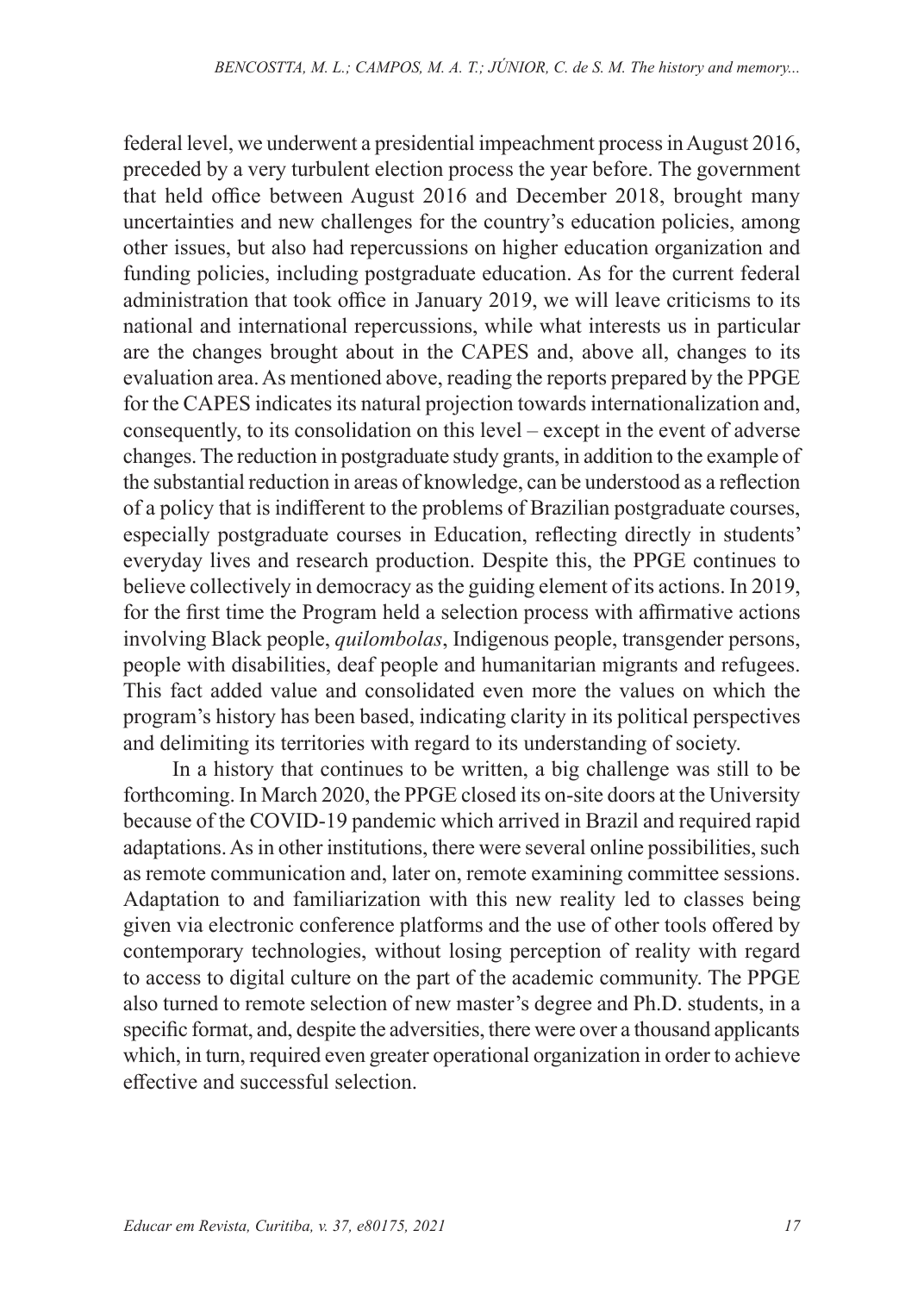federal level, we underwent a presidential impeachment process in August 2016, preceded by a very turbulent election process the year before. The government that held office between August 2016 and December 2018, brought many uncertainties and new challenges for the country's education policies, among other issues, but also had repercussions on higher education organization and funding policies, including postgraduate education. As for the current federal administration that took office in January 2019, we will leave criticisms to its national and international repercussions, while what interests us in particular are the changes brought about in the CAPES and, above all, changes to its evaluation area. As mentioned above, reading the reports prepared by the PPGE for the CAPES indicates its natural projection towards internationalization and, consequently, to its consolidation on this level – except in the event of adverse changes. The reduction in postgraduate study grants, in addition to the example of the substantial reduction in areas of knowledge, can be understood as a reflection of a policy that is indifferent to the problems of Brazilian postgraduate courses, especially postgraduate courses in Education, reflecting directly in students' everyday lives and research production. Despite this, the PPGE continues to believe collectively in democracy as the guiding element of its actions. In 2019, for the first time the Program held a selection process with affirmative actions involving Black people, *quilombolas*, Indigenous people, transgender persons, people with disabilities, deaf people and humanitarian migrants and refugees. This fact added value and consolidated even more the values on which the program's history has been based, indicating clarity in its political perspectives and delimiting its territories with regard to its understanding of society.

In a history that continues to be written, a big challenge was still to be forthcoming. In March 2020, the PPGE closed its on-site doors at the University because of the COVID-19 pandemic which arrived in Brazil and required rapid adaptations. As in other institutions, there were several online possibilities, such as remote communication and, later on, remote examining committee sessions. Adaptation to and familiarization with this new reality led to classes being given via electronic conference platforms and the use of other tools offered by contemporary technologies, without losing perception of reality with regard to access to digital culture on the part of the academic community. The PPGE also turned to remote selection of new master's degree and Ph.D. students, in a specific format, and, despite the adversities, there were over a thousand applicants which, in turn, required even greater operational organization in order to achieve effective and successful selection.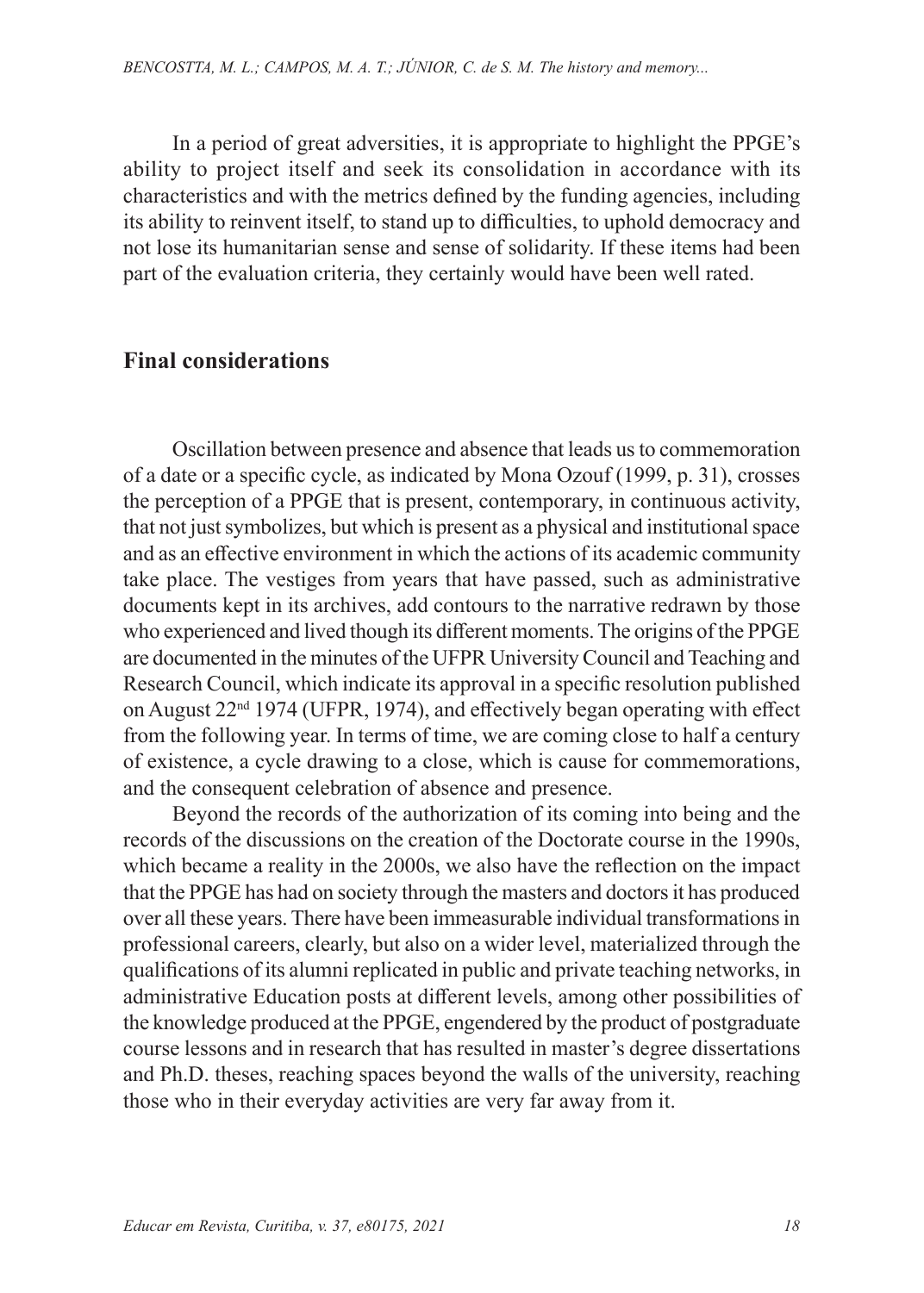In a period of great adversities, it is appropriate to highlight the PPGE's ability to project itself and seek its consolidation in accordance with its characteristics and with the metrics defined by the funding agencies, including its ability to reinvent itself, to stand up to difficulties, to uphold democracy and not lose its humanitarian sense and sense of solidarity. If these items had been part of the evaluation criteria, they certainly would have been well rated.

#### **Final considerations**

Oscillation between presence and absence that leads us to commemoration of a date or a specific cycle, as indicated by Mona Ozouf (1999, p. 31), crosses the perception of a PPGE that is present, contemporary, in continuous activity, that not just symbolizes, but which is present as a physical and institutional space and as an effective environment in which the actions of its academic community take place. The vestiges from years that have passed, such as administrative documents kept in its archives, add contours to the narrative redrawn by those who experienced and lived though its different moments. The origins of the PPGE are documented in the minutes of the UFPR University Council and Teaching and Research Council, which indicate its approval in a specific resolution published on August 22nd 1974 (UFPR, 1974), and effectively began operating with effect from the following year. In terms of time, we are coming close to half a century of existence, a cycle drawing to a close, which is cause for commemorations, and the consequent celebration of absence and presence.

Beyond the records of the authorization of its coming into being and the records of the discussions on the creation of the Doctorate course in the 1990s, which became a reality in the 2000s, we also have the reflection on the impact that the PPGE has had on society through the masters and doctors it has produced over all these years. There have been immeasurable individual transformations in professional careers, clearly, but also on a wider level, materialized through the qualifications of its alumni replicated in public and private teaching networks, in administrative Education posts at different levels, among other possibilities of the knowledge produced at the PPGE, engendered by the product of postgraduate course lessons and in research that has resulted in master's degree dissertations and Ph.D. theses, reaching spaces beyond the walls of the university, reaching those who in their everyday activities are very far away from it.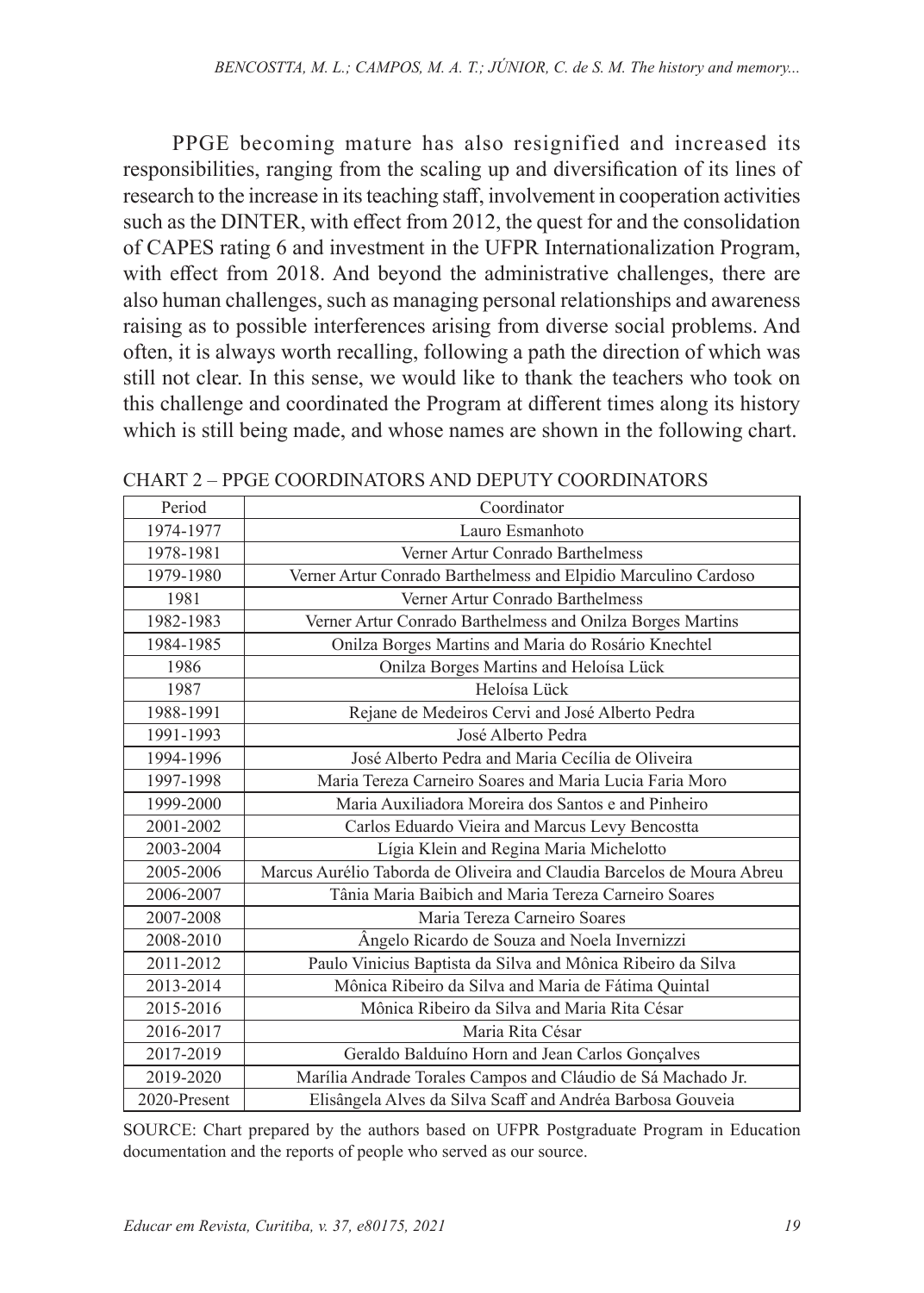PPGE becoming mature has also resignified and increased its responsibilities, ranging from the scaling up and diversification of its lines of research to the increase in its teaching staff, involvement in cooperation activities such as the DINTER, with effect from 2012, the quest for and the consolidation of CAPES rating 6 and investment in the UFPR Internationalization Program, with effect from 2018. And beyond the administrative challenges, there are also human challenges, such as managing personal relationships and awareness raising as to possible interferences arising from diverse social problems. And often, it is always worth recalling, following a path the direction of which was still not clear. In this sense, we would like to thank the teachers who took on this challenge and coordinated the Program at different times along its history which is still being made, and whose names are shown in the following chart.

| Period       | Coordinator                                                            |
|--------------|------------------------------------------------------------------------|
| 1974-1977    | Lauro Esmanhoto                                                        |
| 1978-1981    | Verner Artur Conrado Barthelmess                                       |
| 1979-1980    | Verner Artur Conrado Barthelmess and Elpidio Marculino Cardoso         |
| 1981         | Verner Artur Conrado Barthelmess                                       |
| 1982-1983    | Verner Artur Conrado Barthelmess and Onilza Borges Martins             |
| 1984-1985    | Onilza Borges Martins and Maria do Rosário Knechtel                    |
| 1986         | Onilza Borges Martins and Heloísa Lück                                 |
| 1987         | Heloísa Lück                                                           |
| 1988-1991    | Rejane de Medeiros Cervi and José Alberto Pedra                        |
| 1991-1993    | José Alberto Pedra                                                     |
| 1994-1996    | José Alberto Pedra and Maria Cecília de Oliveira                       |
| 1997-1998    | Maria Tereza Carneiro Soares and Maria Lucia Faria Moro                |
| 1999-2000    | Maria Auxiliadora Moreira dos Santos e and Pinheiro                    |
| 2001-2002    | Carlos Eduardo Vieira and Marcus Levy Bencostta                        |
| 2003-2004    | Lígia Klein and Regina Maria Michelotto                                |
| 2005-2006    | Marcus Aurélio Taborda de Oliveira and Claudia Barcelos de Moura Abreu |
| 2006-2007    | Tânia Maria Baibich and Maria Tereza Carneiro Soares                   |
| 2007-2008    | Maria Tereza Carneiro Soares                                           |
| 2008-2010    | Angelo Ricardo de Souza and Noela Invernizzi                           |
| 2011-2012    | Paulo Vinicius Baptista da Silva and Mônica Ribeiro da Silva           |
| 2013-2014    | Mônica Ribeiro da Silva and Maria de Fátima Quintal                    |
| 2015-2016    | Mônica Ribeiro da Silva and Maria Rita César                           |
| 2016-2017    | Maria Rita César                                                       |
| 2017-2019    | Geraldo Balduíno Horn and Jean Carlos Gonçalves                        |
| 2019-2020    | Marília Andrade Torales Campos and Cláudio de Sá Machado Jr.           |
| 2020-Present | Elisângela Alves da Silva Scaff and Andréa Barbosa Gouveia             |

CHART 2 – PPGE COORDINATORS AND DEPUTY COORDINATORS

SOURCE: Chart prepared by the authors based on UFPR Postgraduate Program in Education documentation and the reports of people who served as our source.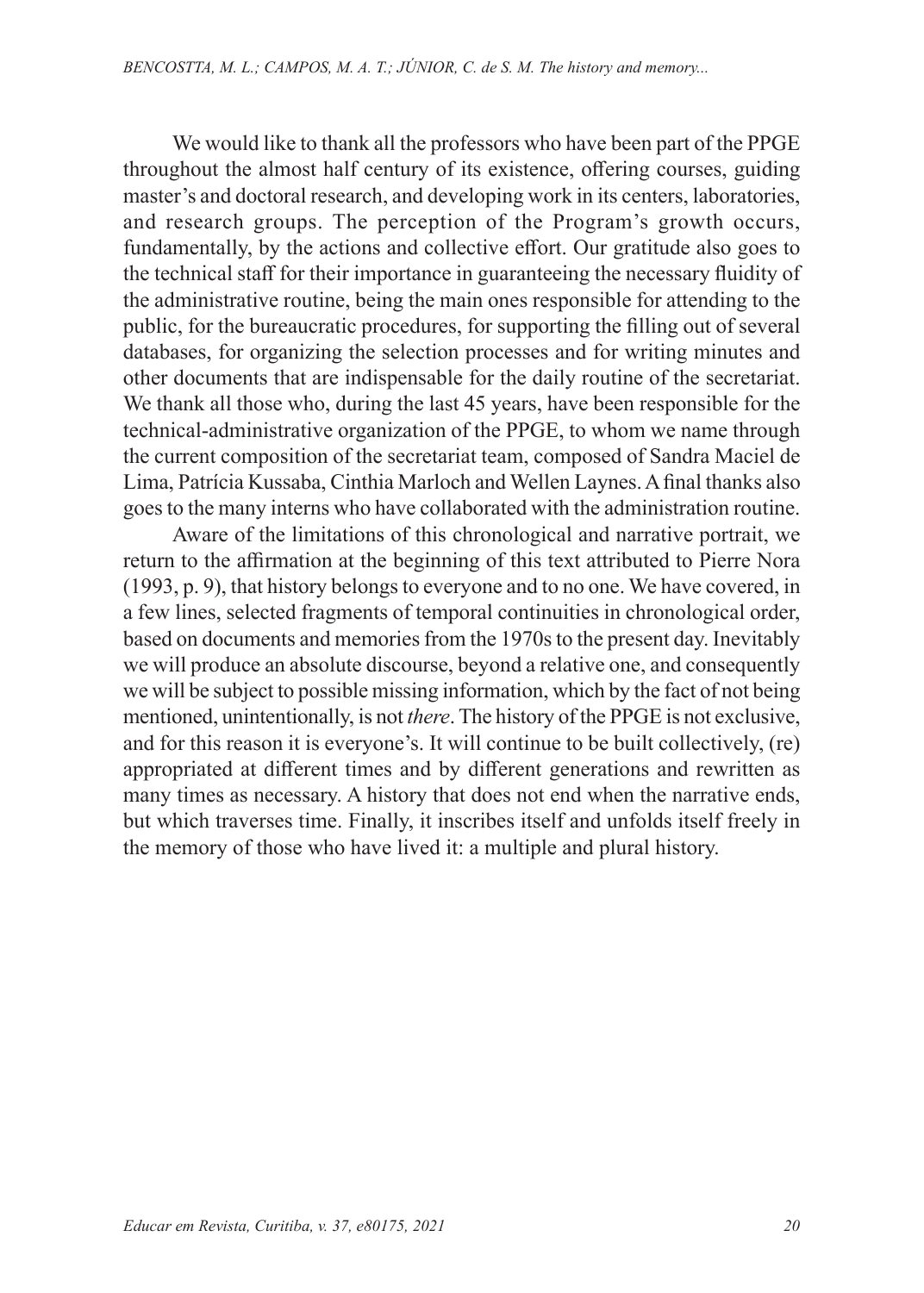We would like to thank all the professors who have been part of the PPGE throughout the almost half century of its existence, offering courses, guiding master's and doctoral research, and developing work in its centers, laboratories, and research groups. The perception of the Program's growth occurs, fundamentally, by the actions and collective effort. Our gratitude also goes to the technical staff for their importance in guaranteeing the necessary fluidity of the administrative routine, being the main ones responsible for attending to the public, for the bureaucratic procedures, for supporting the filling out of several databases, for organizing the selection processes and for writing minutes and other documents that are indispensable for the daily routine of the secretariat. We thank all those who, during the last 45 years, have been responsible for the technical-administrative organization of the PPGE, to whom we name through the current composition of the secretariat team, composed of Sandra Maciel de Lima, Patrícia Kussaba, Cinthia Marloch and Wellen Laynes. A final thanks also goes to the many interns who have collaborated with the administration routine.

Aware of the limitations of this chronological and narrative portrait, we return to the affirmation at the beginning of this text attributed to Pierre Nora (1993, p. 9), that history belongs to everyone and to no one. We have covered, in a few lines, selected fragments of temporal continuities in chronological order, based on documents and memories from the 1970s to the present day. Inevitably we will produce an absolute discourse, beyond a relative one, and consequently we will be subject to possible missing information, which by the fact of not being mentioned, unintentionally, is not *there*. The history of the PPGE is not exclusive, and for this reason it is everyone's. It will continue to be built collectively, (re) appropriated at different times and by different generations and rewritten as many times as necessary. A history that does not end when the narrative ends, but which traverses time. Finally, it inscribes itself and unfolds itself freely in the memory of those who have lived it: a multiple and plural history.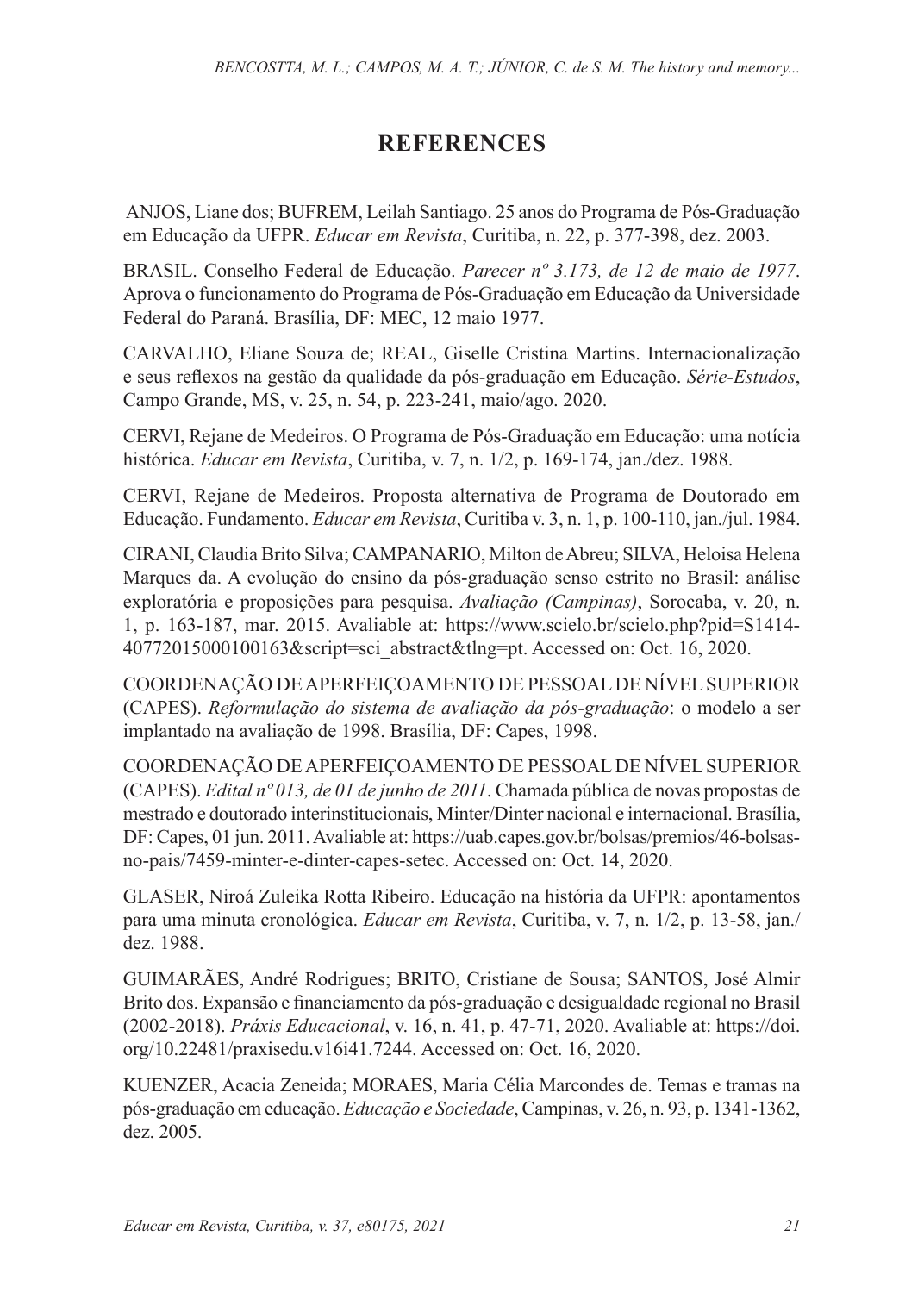## **REFERENCES**

ANJOS, Liane dos; BUFREM, Leilah Santiago. 25 anos do Programa de Pós-Graduação em Educação da UFPR. *Educar em Revista*, Curitiba, n. 22, p. 377-398, dez. 2003.

BRASIL. Conselho Federal de Educação. *Parecer nº 3.173, de 12 de maio de 1977*. Aprova o funcionamento do Programa de Pós-Graduação em Educação da Universidade Federal do Paraná. Brasília, DF: MEC, 12 maio 1977.

CARVALHO, Eliane Souza de; REAL, Giselle Cristina Martins. Internacionalização e seus reflexos na gestão da qualidade da pós-graduação em Educação. *Série-Estudos*, Campo Grande, MS, v. 25, n. 54, p. 223-241, maio/ago. 2020.

CERVI, Rejane de Medeiros. O Programa de Pós-Graduação em Educação: uma notícia histórica. *Educar em Revista*, Curitiba, v. 7, n. 1/2, p. 169-174, jan./dez. 1988.

CERVI, Rejane de Medeiros. Proposta alternativa de Programa de Doutorado em Educação. Fundamento. *Educar em Revista*, Curitiba v. 3, n. 1, p. 100-110, jan./jul. 1984.

CIRANI, Claudia Brito Silva; CAMPANARIO, Milton de Abreu; SILVA, Heloisa Helena Marques da. A evolução do ensino da pós-graduação senso estrito no Brasil: análise exploratória e proposições para pesquisa. *Avaliação (Campinas)*, Sorocaba, v. 20, n. 1, p. 163-187, mar. 2015. Avaliable at: https://www.scielo.br/scielo.php?pid=S1414- 40772015000100163&script=sci\_abstract&tlng=pt. Accessed on: Oct. 16, 2020.

COORDENAÇÃO DE APERFEIÇOAMENTO DE PESSOAL DE NÍVEL SUPERIOR (CAPES). *Reformulação do sistema de avaliação da pós-graduação*: o modelo a ser implantado na avaliação de 1998. Brasília, DF: Capes, 1998.

COORDENAÇÃO DE APERFEIÇOAMENTO DE PESSOAL DE NÍVEL SUPERIOR (CAPES). *Edital nº 013, de 01 de junho de 2011*. Chamada pública de novas propostas de mestrado e doutorado interinstitucionais, Minter/Dinter nacional e internacional. Brasília, DF: Capes, 01 jun. 2011. Avaliable at: https://uab.capes.gov.br/bolsas/premios/46-bolsasno-pais/7459-minter-e-dinter-capes-setec. Accessed on: Oct. 14, 2020.

GLASER, Niroá Zuleika Rotta Ribeiro. Educação na história da UFPR: apontamentos para uma minuta cronológica. *Educar em Revista*, Curitiba, v. 7, n. 1/2, p. 13-58, jan./ dez. 1988.

GUIMARÃES, André Rodrigues; BRITO, Cristiane de Sousa; SANTOS, José Almir Brito dos. Expansão e financiamento da pós-graduação e desigualdade regional no Brasil (2002-2018). *Práxis Educacional*, v. 16, n. 41, p. 47-71, 2020. Avaliable at: https://doi. org/10.22481/praxisedu.v16i41.7244. Accessed on: Oct. 16, 2020.

KUENZER, Acacia Zeneida; MORAES, Maria Célia Marcondes de. Temas e tramas na pós-graduação em educação. *Educação e Sociedade*, Campinas, v. 26, n. 93, p. 1341-1362, dez. 2005.